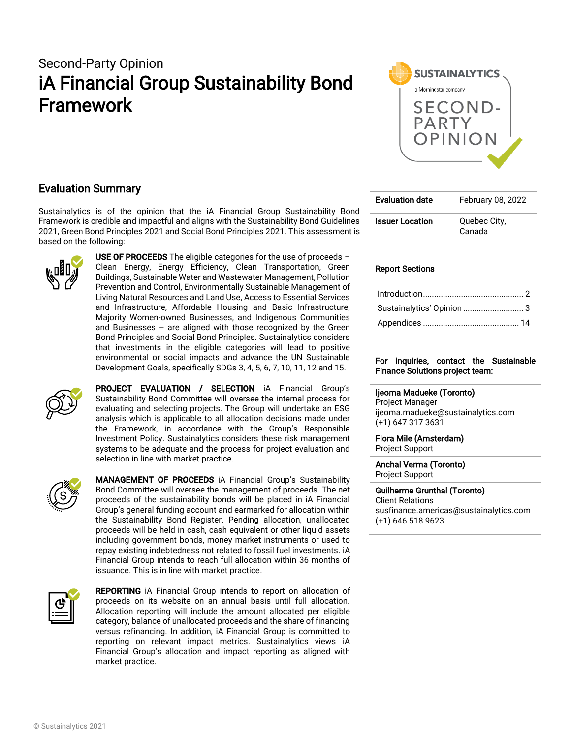# Second-Party Opinion iA Financial Group Sustainability Bond Framework



## Evaluation Summary

Sustainalytics is of the opinion that the iA Financial Group Sustainability Bond Framework is credible and impactful and aligns with the Sustainability Bond Guidelines 2021, Green Bond Principles 2021 and Social Bond Principles 2021. This assessment is based on the following:



USE OF PROCEEDS The eligible categories for the use of proceeds  $-$ Clean Energy, Energy Efficiency, Clean Transportation, Green Buildings, Sustainable Water and Wastewater Management, Pollution Prevention and Control, Environmentally Sustainable Management of Living Natural Resources and Land Use, Access to Essential Services and Infrastructure, Affordable Housing and Basic Infrastructure, Majority Women-owned Businesses, and Indigenous Communities and Businesses – are aligned with those recognized by the Green Bond Principles and Social Bond Principles. Sustainalytics considers that investments in the eligible categories will lead to positive environmental or social impacts and advance the UN Sustainable Development Goals, specifically SDGs 3, 4, 5, 6, 7, 10, 11, 12 and 15.



PROJECT EVALUATION / SELECTION iA Financial Group's Sustainability Bond Committee will oversee the internal process for evaluating and selecting projects. The Group will undertake an ESG analysis which is applicable to all allocation decisions made under the Framework, in accordance with the Group's Responsible Investment Policy. Sustainalytics considers these risk management systems to be adequate and the process for project evaluation and selection in line with market practice.



**MANAGEMENT OF PROCEEDS** iA Financial Group's Sustainability Bond Committee will oversee the management of proceeds. The net proceeds of the sustainability bonds will be placed in iA Financial Group's general funding account and earmarked for allocation within the Sustainability Bond Register. Pending allocation, unallocated proceeds will be held in cash, cash equivalent or other liquid assets including government bonds, money market instruments or used to repay existing indebtedness not related to fossil fuel investments. iA Financial Group intends to reach full allocation within 36 months of issuance. This is in line with market practice.



**REPORTING** iA Financial Group intends to report on allocation of proceeds on its website on an annual basis until full allocation. Allocation reporting will include the amount allocated per eligible category, balance of unallocated proceeds and the share of financing versus refinancing. In addition, iA Financial Group is committed to reporting on relevant impact metrics. Sustainalytics views iA Financial Group's allocation and impact reporting as aligned with market practice.

| <b>Evaluation date</b> | February 08, 2022      |
|------------------------|------------------------|
| <b>Issuer Location</b> | Quebec City,<br>Canada |

### Report Sections

| Sustainalytics' Opinion  3 |
|----------------------------|
|                            |
|                            |

### For inquiries, contact the Sustainable Finance Solutions project team:

### Ijeoma Madueke (Toronto)

Project Manager ijeoma.madueke@sustainalytics.com (+1) 647 317 3631

#### Flora Mile (Amsterdam) Project Support

#### Anchal Verma (Toronto) Project Support

Guilherme Grunthal (Toronto) Client Relations susfinance.americas@sustainalytics.com (+1) 646 518 9623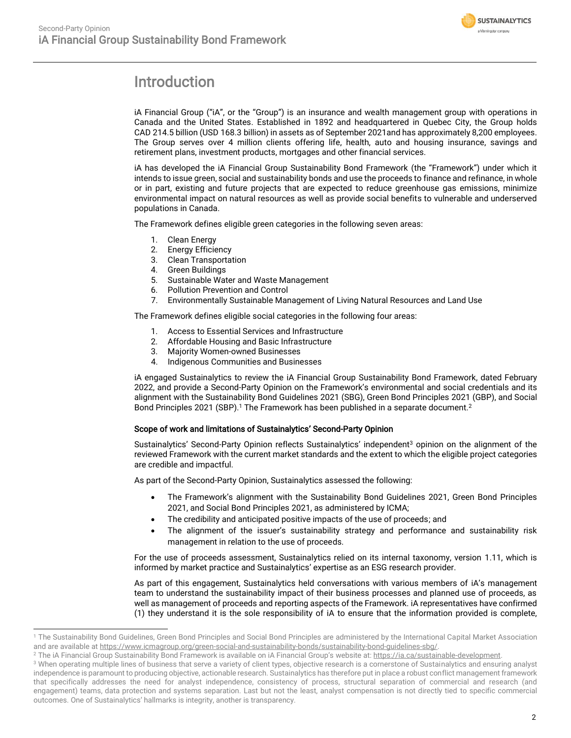

# <span id="page-1-0"></span>Introduction

iA Financial Group ("iA", or the "Group") is an insurance and wealth management group with operations in Canada and the United States. Established in 1892 and headquartered in Quebec City, the Group holds CAD 214.5 billion (USD 168.3 billion) in assets as of September 2021and has approximately 8,200 employees. The Group serves over 4 million clients offering life, health, auto and housing insurance, savings and retirement plans, investment products, mortgages and other financial services.

iA has developed the iA Financial Group Sustainability Bond Framework (the "Framework") under which it intends to issue green, social and sustainability bonds and use the proceeds to finance and refinance, in whole or in part, existing and future projects that are expected to reduce greenhouse gas emissions, minimize environmental impact on natural resources as well as provide social benefits to vulnerable and underserved populations in Canada.

The Framework defines eligible green categories in the following seven areas:

- 1. Clean Energy
- 2. Energy Efficiency
- 3. Clean Transportation
- 4. Green Buildings
- 5. Sustainable Water and Waste Management
- 6. Pollution Prevention and Control
- 7. Environmentally Sustainable Management of Living Natural Resources and Land Use

The Framework defines eligible social categories in the following four areas:

- Access to Essential Services and Infrastructure
- 2. Affordable Housing and Basic Infrastructure
- 3. Majority Women-owned Businesses
- 4. Indigenous Communities and Businesses

iA engaged Sustainalytics to review the iA Financial Group Sustainability Bond Framework, dated February 2022, and provide a Second-Party Opinion on the Framework's environmental and social credentials and its alignment with the Sustainability Bond Guidelines 2021 (SBG), Green Bond Principles 2021 (GBP), and Social Bond Principles 2021 (SBP).<sup>1</sup> The Framework has been published in a separate document.<sup>2</sup>

### Scope of work and limitations of Sustainalytics' Second-Party Opinion

Sustainalytics' Second-Party Opinion reflects Sustainalytics' independent<sup>3</sup> opinion on the alignment of the reviewed Framework with the current market standards and the extent to which the eligible project categories are credible and impactful.

As part of the Second-Party Opinion, Sustainalytics assessed the following:

- The Framework's alignment with the Sustainability Bond Guidelines 2021, Green Bond Principles 2021, and Social Bond Principles 2021, as administered by ICMA;
- The credibility and anticipated positive impacts of the use of proceeds; and
- The alignment of the issuer's sustainability strategy and performance and sustainability risk management in relation to the use of proceeds.

For the use of proceeds assessment, Sustainalytics relied on its internal taxonomy, version 1.11, which is informed by market practice and Sustainalytics' expertise as an ESG research provider.

As part of this engagement, Sustainalytics held conversations with various members of iA's management team to understand the sustainability impact of their business processes and planned use of proceeds, as well as management of proceeds and reporting aspects of the Framework. iA representatives have confirmed (1) they understand it is the sole responsibility of iA to ensure that the information provided is complete,

<sup>&</sup>lt;sup>1</sup> The Sustainability Bond Guidelines, Green Bond Principles and Social Bond Principles are administered by the International Capital Market Association and are available a[t https://www.icmagroup.org/green-social-and-sustainability-bonds/sustainability-bond-guidelines-sbg/.](https://www.icmagroup.org/green-social-and-sustainability-bonds/sustainability-bond-guidelines-sbg/)

<sup>&</sup>lt;sup>2</sup> The iA Financial Group Sustainability Bond Framework is available on iA Financial Group's website at[: https://ia.ca/sustainable-development.](https://ia.ca/sustainable-development)

<sup>&</sup>lt;sup>3</sup> When operating multiple lines of business that serve a variety of client types, objective research is a cornerstone of Sustainalytics and ensuring analyst independence is paramount to producing objective, actionable research. Sustainalytics has therefore put in place a robust conflict management framework that specifically addresses the need for analyst independence, consistency of process, structural separation of commercial and research (and engagement) teams, data protection and systems separation. Last but not the least, analyst compensation is not directly tied to specific commercial outcomes. One of Sustainalytics' hallmarks is integrity, another is transparency.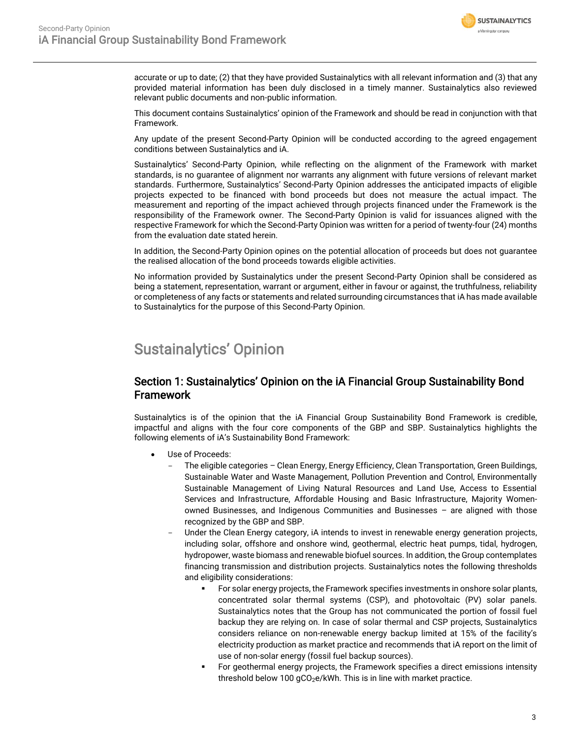

accurate or up to date; (2) that they have provided Sustainalytics with all relevant information and (3) that any provided material information has been duly disclosed in a timely manner. Sustainalytics also reviewed relevant public documents and non-public information.

This document contains Sustainalytics' opinion of the Framework and should be read in conjunction with that Framework.

Any update of the present Second-Party Opinion will be conducted according to the agreed engagement conditions between Sustainalytics and iA.

Sustainalytics' Second-Party Opinion, while reflecting on the alignment of the Framework with market standards, is no guarantee of alignment nor warrants any alignment with future versions of relevant market standards. Furthermore, Sustainalytics' Second-Party Opinion addresses the anticipated impacts of eligible projects expected to be financed with bond proceeds but does not measure the actual impact. The measurement and reporting of the impact achieved through projects financed under the Framework is the responsibility of the Framework owner. The Second-Party Opinion is valid for issuances aligned with the respective Framework for which the Second-Party Opinion was written for a period of twenty-four (24) months from the evaluation date stated herein.

In addition, the Second-Party Opinion opines on the potential allocation of proceeds but does not guarantee the realised allocation of the bond proceeds towards eligible activities.

No information provided by Sustainalytics under the present Second-Party Opinion shall be considered as being a statement, representation, warrant or argument, either in favour or against, the truthfulness, reliability or completeness of any facts or statements and related surrounding circumstances that iA has made available to Sustainalytics for the purpose of this Second-Party Opinion.

# <span id="page-2-0"></span>Sustainalytics' Opinion

## Section 1: Sustainalytics' Opinion on the iA Financial Group Sustainability Bond **Framework**

Sustainalytics is of the opinion that the iA Financial Group Sustainability Bond Framework is credible, impactful and aligns with the four core components of the GBP and SBP. Sustainalytics highlights the following elements of iA's Sustainability Bond Framework:

- Use of Proceeds:
	- The eligible categories Clean Energy, Energy Efficiency, Clean Transportation, Green Buildings, Sustainable Water and Waste Management, Pollution Prevention and Control, Environmentally Sustainable Management of Living Natural Resources and Land Use, Access to Essential Services and Infrastructure, Affordable Housing and Basic Infrastructure, Majority Womenowned Businesses, and Indigenous Communities and Businesses – are aligned with those recognized by the GBP and SBP.
	- Under the Clean Energy category, iA intends to invest in renewable energy generation projects, including solar, offshore and onshore wind, geothermal, electric heat pumps, tidal, hydrogen, hydropower, waste biomass and renewable biofuel sources. In addition, the Group contemplates financing transmission and distribution projects. Sustainalytics notes the following thresholds and eligibility considerations:
		- For solar energy projects, the Framework specifies investments in onshore solar plants, concentrated solar thermal systems (CSP), and photovoltaic (PV) solar panels. Sustainalytics notes that the Group has not communicated the portion of fossil fuel backup they are relying on. In case of solar thermal and CSP projects, Sustainalytics considers reliance on non-renewable energy backup limited at 15% of the facility's electricity production as market practice and recommends that iA report on the limit of use of non-solar energy (fossil fuel backup sources).
		- For geothermal energy projects, the Framework specifies a direct emissions intensity threshold below 100  $gCO<sub>2</sub>e/kWh$ . This is in line with market practice.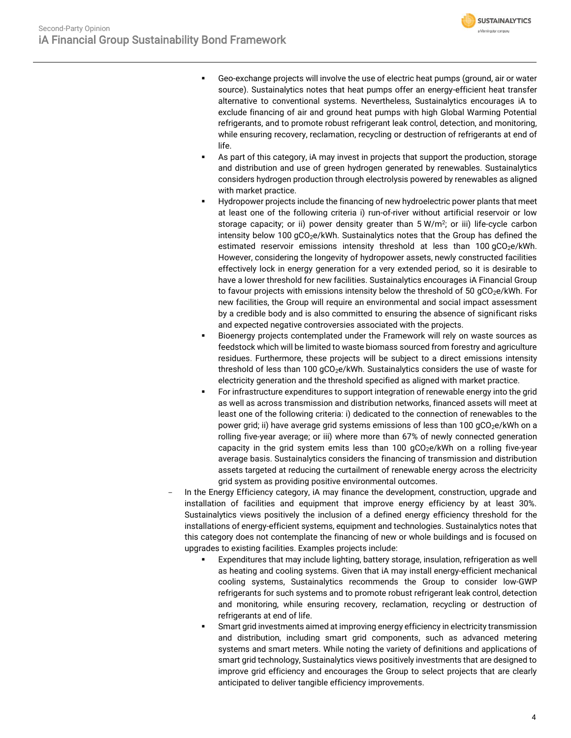

- Geo-exchange projects will involve the use of electric heat pumps (ground, air or water source). Sustainalytics notes that heat pumps offer an energy-efficient heat transfer alternative to conventional systems. Nevertheless, Sustainalytics encourages iA to exclude financing of air and ground heat pumps with high Global Warming Potential refrigerants, and to promote robust refrigerant leak control, detection, and monitoring, while ensuring recovery, reclamation, recycling or destruction of refrigerants at end of life.
- As part of this category, iA may invest in projects that support the production, storage and distribution and use of green hydrogen generated by renewables. Sustainalytics considers hydrogen production through electrolysis powered by renewables as aligned with market practice.
- Hydropower projects include the financing of new hydroelectric power plants that meet at least one of the following criteria i) run-of-river without artificial reservoir or low storage capacity; or ii) power density greater than 5 W/m<sup>2</sup>; or iii) life-cycle carbon intensity below 100  $gCO<sub>2</sub>e/kWh$ . Sustainalytics notes that the Group has defined the estimated reservoir emissions intensity threshold at less than 100 gCO<sub>2</sub>e/kWh. However, considering the longevity of hydropower assets, newly constructed facilities effectively lock in energy generation for a very extended period, so it is desirable to have a lower threshold for new facilities. Sustainalytics encourages iA Financial Group to favour projects with emissions intensity below the threshold of 50  $gCO_2e/kWh$ . For new facilities, the Group will require an environmental and social impact assessment by a credible body and is also committed to ensuring the absence of significant risks and expected negative controversies associated with the projects.
- Bioenergy projects contemplated under the Framework will rely on waste sources as feedstock which will be limited to waste biomass sourced from forestry and agriculture residues. Furthermore, these projects will be subject to a direct emissions intensity threshold of less than 100 gCO<sub>2</sub>e/kWh. Sustainalytics considers the use of waste for electricity generation and the threshold specified as aligned with market practice.
- For infrastructure expenditures to support integration of renewable energy into the grid as well as across transmission and distribution networks, financed assets will meet at least one of the following criteria: i) dedicated to the connection of renewables to the power grid; ii) have average grid systems emissions of less than 100  $qCO_2e/kWh$  on a rolling five-year average; or iii) where more than 67% of newly connected generation capacity in the grid system emits less than 100  $qCO_2e/kWh$  on a rolling five-year average basis. Sustainalytics considers the financing of transmission and distribution assets targeted at reducing the curtailment of renewable energy across the electricity grid system as providing positive environmental outcomes.
- In the Energy Efficiency category, iA may finance the development, construction, upgrade and installation of facilities and equipment that improve energy efficiency by at least 30%. Sustainalytics views positively the inclusion of a defined energy efficiency threshold for the installations of energy-efficient systems, equipment and technologies. Sustainalytics notes that this category does not contemplate the financing of new or whole buildings and is focused on upgrades to existing facilities. Examples projects include:
	- Expenditures that may include lighting, battery storage, insulation, refrigeration as well as heating and cooling systems. Given that iA may install energy-efficient mechanical cooling systems, Sustainalytics recommends the Group to consider low-GWP refrigerants for such systems and to promote robust refrigerant leak control, detection and monitoring, while ensuring recovery, reclamation, recycling or destruction of refrigerants at end of life.
	- Smart grid investments aimed at improving energy efficiency in electricity transmission and distribution, including smart grid components, such as advanced metering systems and smart meters. While noting the variety of definitions and applications of smart grid technology, Sustainalytics views positively investments that are designed to improve grid efficiency and encourages the Group to select projects that are clearly anticipated to deliver tangible efficiency improvements.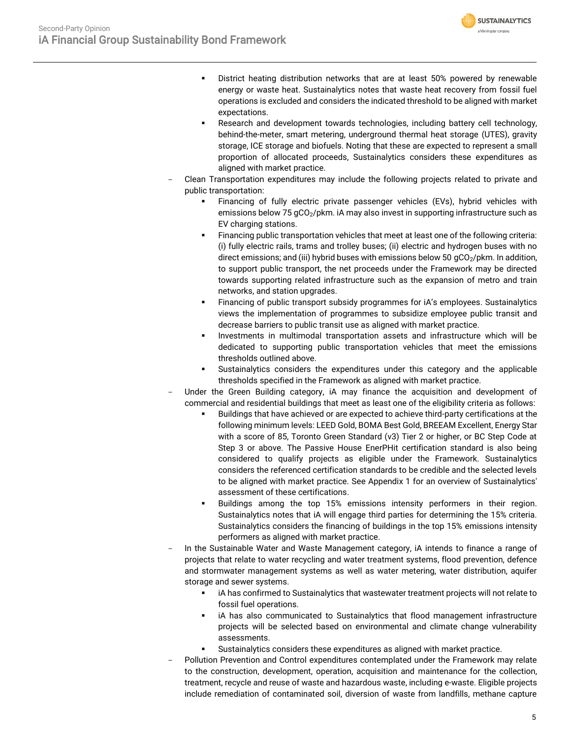

- District heating distribution networks that are at least 50% powered by renewable energy or waste heat. Sustainalytics notes that waste heat recovery from fossil fuel operations is excluded and considers the indicated threshold to be aligned with market expectations.
- **EXEC** Research and development towards technologies, including battery cell technology, behind-the-meter, smart metering, underground thermal heat storage (UTES), gravity storage, ICE storage and biofuels. Noting that these are expected to represent a small proportion of allocated proceeds, Sustainalytics considers these expenditures as aligned with market practice.
- Clean Transportation expenditures may include the following projects related to private and public transportation:
	- Financing of fully electric private passenger vehicles (EVs), hybrid vehicles with emissions below 75 gCO<sub>2</sub>/pkm. iA may also invest in supporting infrastructure such as EV charging stations.
	- Financing public transportation vehicles that meet at least one of the following criteria: (i) fully electric rails, trams and trolley buses; (ii) electric and hydrogen buses with no direct emissions; and (iii) hybrid buses with emissions below 50  $qCO<sub>2</sub>/pkm$ . In addition, to support public transport, the net proceeds under the Framework may be directed towards supporting related infrastructure such as the expansion of metro and train networks, and station upgrades.
	- Financing of public transport subsidy programmes for  $iA$ 's employees. Sustainalytics views the implementation of programmes to subsidize employee public transit and decrease barriers to public transit use as aligned with market practice.
	- Investments in multimodal transportation assets and infrastructure which will be dedicated to supporting public transportation vehicles that meet the emissions thresholds outlined above.
	- Sustainalytics considers the expenditures under this category and the applicable thresholds specified in the Framework as aligned with market practice.
- Under the Green Building category, iA may finance the acquisition and development of commercial and residential buildings that meet as least one of the eligibility criteria as follows:
	- Buildings that have achieved or are expected to achieve third-party certifications at the following minimum levels: LEED Gold, BOMA Best Gold, BREEAM Excellent, Energy Star with a score of 85, Toronto Green Standard (v3) Tier 2 or higher, or BC Step Code at Step 3 or above. The Passive House EnerPHit certification standard is also being considered to qualify projects as eligible under the Framework. Sustainalytics considers the referenced certification standards to be credible and the selected levels to be aligned with market practice. See Appendix 1 for an overview of Sustainalytics' assessment of these certifications.
	- Buildings among the top 15% emissions intensity performers in their region. Sustainalytics notes that iA will engage third parties for determining the 15% criteria. Sustainalytics considers the financing of buildings in the top 15% emissions intensity performers as aligned with market practice.
- In the Sustainable Water and Waste Management category, iA intends to finance a range of projects that relate to water recycling and water treatment systems, flood prevention, defence and stormwater management systems as well as water metering, water distribution, aquifer storage and sewer systems.
	- **•** iA has confirmed to Sustainalytics that wastewater treatment projects will not relate to fossil fuel operations.
	- iA has also communicated to Sustainalytics that flood management infrastructure projects will be selected based on environmental and climate change vulnerability assessments.
	- Sustainalytics considers these expenditures as aligned with market practice.
- Pollution Prevention and Control expenditures contemplated under the Framework may relate to the construction, development, operation, acquisition and maintenance for the collection, treatment, recycle and reuse of waste and hazardous waste, including e-waste. Eligible projects include remediation of contaminated soil, diversion of waste from landfills, methane capture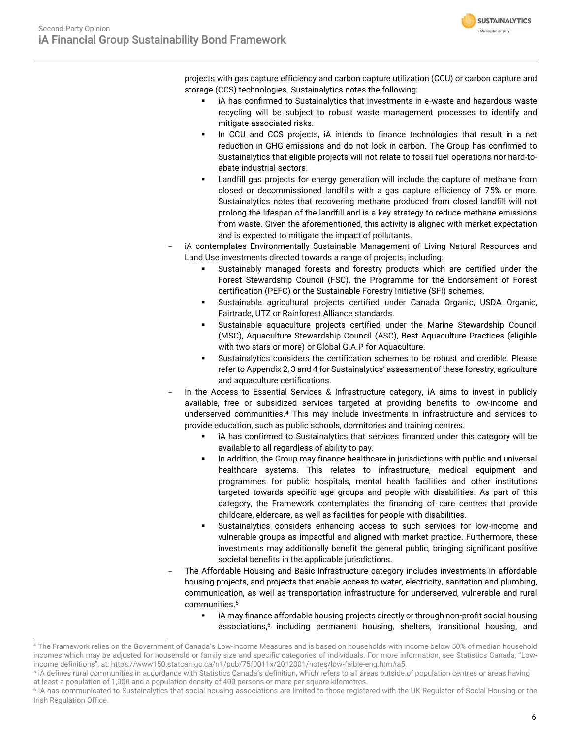**SUSTAINALYTICS** a Morningstar company

projects with gas capture efficiency and carbon capture utilization (CCU) or carbon capture and storage (CCS) technologies. Sustainalytics notes the following:

- iA has confirmed to Sustainalytics that investments in e-waste and hazardous waste recycling will be subject to robust waste management processes to identify and mitigate associated risks.
- In CCU and CCS projects, iA intends to finance technologies that result in a net reduction in GHG emissions and do not lock in carbon. The Group has confirmed to Sustainalytics that eligible projects will not relate to fossil fuel operations nor hard-toabate industrial sectors.
- Landfill gas projects for energy generation will include the capture of methane from closed or decommissioned landfills with a gas capture efficiency of 75% or more. Sustainalytics notes that recovering methane produced from closed landfill will not prolong the lifespan of the landfill and is a key strategy to reduce methane emissions from waste. Given the aforementioned, this activity is aligned with market expectation and is expected to mitigate the impact of pollutants.
- iA contemplates Environmentally Sustainable Management of Living Natural Resources and Land Use investments directed towards a range of projects, including:
	- Sustainably managed forests and forestry products which are certified under the Forest Stewardship Council (FSC), the Programme for the Endorsement of Forest certification (PEFC) or the Sustainable Forestry Initiative (SFI) schemes.
	- Sustainable agricultural projects certified under Canada Organic, USDA Organic, Fairtrade, UTZ or Rainforest Alliance standards.
	- Sustainable aquaculture projects certified under the Marine Stewardship Council (MSC), Aquaculture Stewardship Council (ASC), Best Aquaculture Practices (eligible with two stars or more) or Global G.A.P for Aquaculture.
	- Sustainalytics considers the certification schemes to be robust and credible. Please refer to Appendix 2, 3 and 4 for Sustainalytics' assessment of these forestry, agriculture and aquaculture certifications.
- In the Access to Essential Services & Infrastructure category, iA aims to invest in publicly available, free or subsidized services targeted at providing benefits to low-income and underserved communities. <sup>4</sup> This may include investments in infrastructure and services to provide education, such as public schools, dormitories and training centres.
	- iA has confirmed to Sustainalytics that services financed under this category will be available to all regardless of ability to pay.
	- In addition, the Group may finance healthcare in jurisdictions with public and universal healthcare systems. This relates to infrastructure, medical equipment and programmes for public hospitals, mental health facilities and other institutions targeted towards specific age groups and people with disabilities. As part of this category, the Framework contemplates the financing of care centres that provide childcare, eldercare, as well as facilities for people with disabilities.
	- Sustainalytics considers enhancing access to such services for low-income and vulnerable groups as impactful and aligned with market practice. Furthermore, these investments may additionally benefit the general public, bringing significant positive societal benefits in the applicable jurisdictions.
- The Affordable Housing and Basic Infrastructure category includes investments in affordable housing projects, and projects that enable access to water, electricity, sanitation and plumbing, communication, as well as transportation infrastructure for underserved, vulnerable and rural communities. 5
	- **■** iA may finance affordable housing projects directly or through non-profit social housing associations, <sup>6</sup> including permanent housing, shelters, transitional housing, and

<sup>4</sup> The Framework relies on the Government of Canada's Low-Income Measures and is based on households with income below 50% of median household incomes which may be adjusted for household or family size and specific categories of individuals. For more information, see Statistics Canada, "Lowincome definitions", at: [https://www150.statcan.gc.ca/n1/pub/75f0011x/2012001/notes/low-faible-eng.htm#a5.](https://www150.statcan.gc.ca/n1/pub/75f0011x/2012001/notes/low-faible-eng.htm#a5)

 $^{\rm 5}$  iA defines rural communities in accordance with Statistics Canada's definition, which refers to all areas outside of population centres or areas having at least a population of 1,000 and a population density of 400 persons or more per square kilometres.

<sup>&</sup>lt;sup>6</sup> iA has communicated to Sustainalytics that social housing associations are limited to those registered with the UK Regulator of Social Housing or the Irish Regulation Office.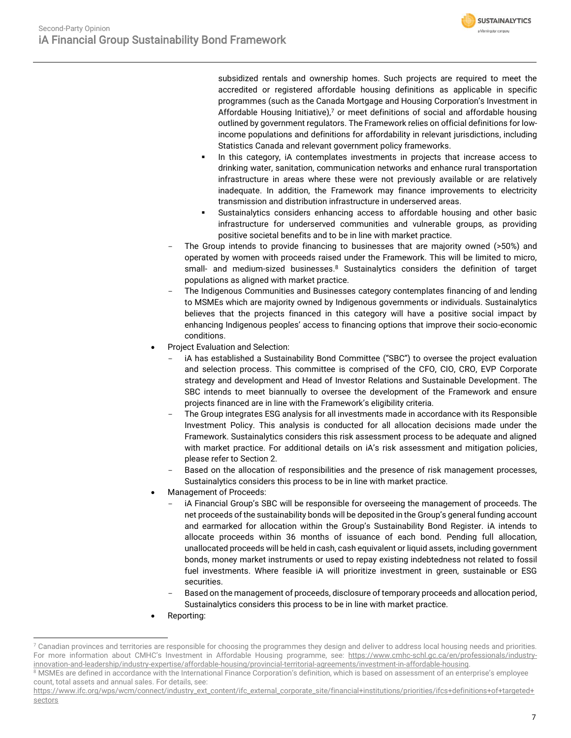

subsidized rentals and ownership homes. Such projects are required to meet the accredited or registered affordable housing definitions as applicable in specific programmes (such as the Canada Mortgage and Housing Corporation's Investment in Affordable Housing Initiative), $7$  or meet definitions of social and affordable housing outlined by government regulators. The Framework relies on official definitions for lowincome populations and definitions for affordability in relevant jurisdictions, including Statistics Canada and relevant government policy frameworks.

- In this category, iA contemplates investments in projects that increase access to drinking water, sanitation, communication networks and enhance rural transportation infrastructure in areas where these were not previously available or are relatively inadequate. In addition, the Framework may finance improvements to electricity transmission and distribution infrastructure in underserved areas.
- Sustainalytics considers enhancing access to affordable housing and other basic infrastructure for underserved communities and vulnerable groups, as providing positive societal benefits and to be in line with market practice.
- The Group intends to provide financing to businesses that are majority owned (>50%) and operated by women with proceeds raised under the Framework. This will be limited to micro, small- and medium-sized businesses.<sup>8</sup> Sustainalytics considers the definition of target populations as aligned with market practice.
- The Indigenous Communities and Businesses category contemplates financing of and lending to MSMEs which are majority owned by Indigenous governments or individuals. Sustainalytics believes that the projects financed in this category will have a positive social impact by enhancing Indigenous peoples' access to financing options that improve their socio-economic conditions.
- Project Evaluation and Selection:
	- iA has established a Sustainability Bond Committee ("SBC") to oversee the project evaluation and selection process. This committee is comprised of the CFO, CIO, CRO, EVP Corporate strategy and development and Head of Investor Relations and Sustainable Development. The SBC intends to meet biannually to oversee the development of the Framework and ensure projects financed are in line with the Framework's eligibility criteria.
	- The Group integrates ESG analysis for all investments made in accordance with its Responsible Investment Policy. This analysis is conducted for all allocation decisions made under the Framework. Sustainalytics considers this risk assessment process to be adequate and aligned with market practice. For additional details on iA's risk assessment and mitigation policies, please refer to Section 2.
	- Based on the allocation of responsibilities and the presence of risk management processes, Sustainalytics considers this process to be in line with market practice.
- Management of Proceeds:
	- iA Financial Group's SBC will be responsible for overseeing the management of proceeds. The net proceeds of the sustainability bonds will be deposited in the Group's general funding account and earmarked for allocation within the Group's Sustainability Bond Register. iA intends to allocate proceeds within 36 months of issuance of each bond. Pending full allocation, unallocated proceeds will be held in cash, cash equivalent or liquid assets, including government bonds, money market instruments or used to repay existing indebtedness not related to fossil fuel investments. Where feasible iA will prioritize investment in green, sustainable or ESG securities.
	- Based on the management of proceeds, disclosure of temporary proceeds and allocation period, Sustainalytics considers this process to be in line with market practice.
- Reporting:

 $7$  Canadian provinces and territories are responsible for choosing the programmes they design and deliver to address local housing needs and priorities. For more information about CMHC's Investment in Affordable Housing programme, see: [https://www.cmhc-schl.gc.ca/en/professionals/industry](https://www.cmhc-schl.gc.ca/en/professionals/industry-innovation-and-leadership/industry-expertise/affordable-housing/provincial-territorial-agreements/investment-in-affordable-housing)[innovation-and-leadership/industry-expertise/affordable-housing/provincial-territorial-agreements/investment-in-affordable-housing.](https://www.cmhc-schl.gc.ca/en/professionals/industry-innovation-and-leadership/industry-expertise/affordable-housing/provincial-territorial-agreements/investment-in-affordable-housing)

<sup>&</sup>lt;sup>8</sup> MSMEs are defined in accordance with the International Finance Corporation's definition, which is based on assessment of an enterprise's employee count, total assets and annual sales. For details, see:

[https://www.ifc.org/wps/wcm/connect/industry\\_ext\\_content/ifc\\_external\\_corporate\\_site/financial+institutions/priorities/ifcs+definitions+of+targeted+](https://www.ifc.org/wps/wcm/connect/industry_ext_content/ifc_external_corporate_site/financial+institutions/priorities/ifcs+definitions+of+targeted+sectors) [sectors](https://www.ifc.org/wps/wcm/connect/industry_ext_content/ifc_external_corporate_site/financial+institutions/priorities/ifcs+definitions+of+targeted+sectors)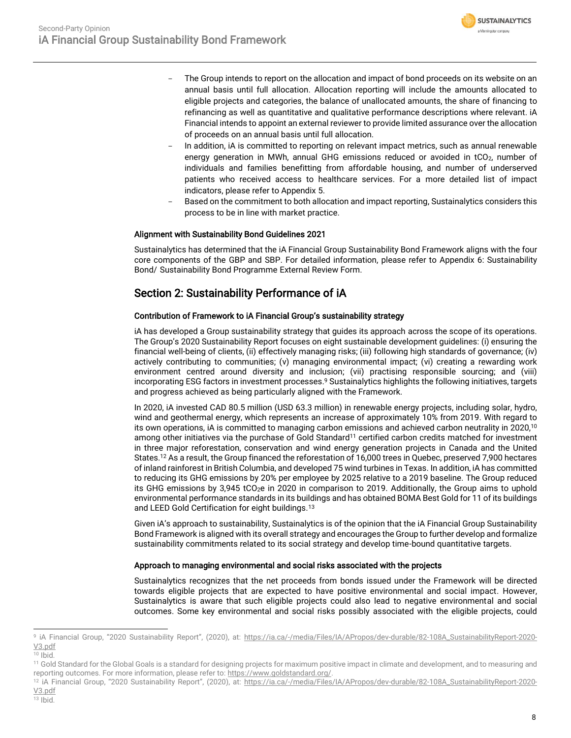

- The Group intends to report on the allocation and impact of bond proceeds on its website on an annual basis until full allocation. Allocation reporting will include the amounts allocated to eligible projects and categories, the balance of unallocated amounts, the share of financing to refinancing as well as quantitative and qualitative performance descriptions where relevant. iA Financial intends to appoint an external reviewer to provide limited assurance over the allocation of proceeds on an annual basis until full allocation.
- In addition, iA is committed to reporting on relevant impact metrics, such as annual renewable energy generation in MWh, annual GHG emissions reduced or avoided in  $tCO<sub>2</sub>$ , number of individuals and families benefitting from affordable housing, and number of underserved patients who received access to healthcare services. For a more detailed list of impact indicators, please refer to Appendix 5.
- Based on the commitment to both allocation and impact reporting, Sustainalytics considers this process to be in line with market practice.

### Alignment with Sustainability Bond Guidelines 2021

Sustainalytics has determined that the iA Financial Group Sustainability Bond Framework aligns with the four core components of the GBP and SBP. For detailed information, please refer to Appendix 6: Sustainability Bond/ Sustainability Bond Programme External Review Form.

## Section 2: Sustainability Performance of iA

### Contribution of Framework to iA Financial Group's sustainability strategy

iA has developed a Group sustainability strategy that guides its approach across the scope of its operations. The Group's 2020 Sustainability Report focuses on eight sustainable development guidelines: (i) ensuring the financial well-being of clients, (ii) effectively managing risks; (iii) following high standards of governance; (iv) actively contributing to communities; (v) managing environmental impact; (vi) creating a rewarding work environment centred around diversity and inclusion; (vii) practising responsible sourcing; and (viii) incorporating ESG factors in investment processes.<sup>9</sup> Sustainalytics highlights the following initiatives, targets and progress achieved as being particularly aligned with the Framework.

In 2020, iA invested CAD 80.5 million (USD 63.3 million) in renewable energy projects, including solar, hydro, wind and geothermal energy, which represents an increase of approximately 10% from 2019. With regard to its own operations, iA is committed to managing carbon emissions and achieved carbon neutrality in 2020, $^{\text{10}}$ among other initiatives via the purchase of Gold Standard<sup>11</sup> certified carbon credits matched for investment in three major reforestation, conservation and wind energy generation projects in Canada and the United States.<sup>12</sup> As a result, the Group financed the reforestation of 16,000 trees in Quebec, preserved 7,900 hectares of inland rainforest in British Columbia, and developed 75 wind turbines in Texas. In addition, iA has committed to reducing its GHG emissions by 20% per employee by 2025 relative to a 2019 baseline. The Group reduced its GHG emissions by 3,945 tCO<sub>2</sub>e in 2020 in comparison to 2019. Additionally, the Group aims to uphold environmental performance standards in its buildings and has obtained BOMA Best Gold for 11 of its buildings and LEED Gold Certification for eight buildings.<sup>13</sup>

Given iA's approach to sustainability, Sustainalytics is of the opinion that the iA Financial Group Sustainability Bond Framework is aligned with its overall strategy and encourages the Group to further develop and formalize sustainability commitments related to its social strategy and develop time-bound quantitative targets.

### Approach to managing environmental and social risks associated with the projects

Sustainalytics recognizes that the net proceeds from bonds issued under the Framework will be directed towards eligible projects that are expected to have positive environmental and social impact. However, Sustainalytics is aware that such eligible projects could also lead to negative environmental and social outcomes. Some key environmental and social risks possibly associated with the eligible projects, could

<sup>&</sup>lt;sup>9</sup> iA Financial Group, "2020 Sustainability Report", (2020), at: [https://ia.ca/-/media/Files/IA/APropos/dev-durable/82-108A\\_SustainabilityReport-2020-](https://ia.ca/-/media/Files/IA/APropos/dev-durable/82-108A_SustainabilityReport-2020-V3.pdf) [V3.pdf](https://ia.ca/-/media/Files/IA/APropos/dev-durable/82-108A_SustainabilityReport-2020-V3.pdf)

 $10$  Ibid.

<sup>11</sup> Gold Standard for the Global Goals is a standard for designing projects for maximum positive impact in climate and development, and to measuring and reporting outcomes. For more information, please refer to[: https://www.goldstandard.org/.](https://www.goldstandard.org/)

<sup>&</sup>lt;sup>12</sup> iA Financial Group, "2020 Sustainability Report", (2020), at: [https://ia.ca/-/media/Files/IA/APropos/dev-durable/82-108A\\_SustainabilityReport-2020-](https://ia.ca/-/media/Files/IA/APropos/dev-durable/82-108A_SustainabilityReport-2020-V3.pdf) [V3.pdf](https://ia.ca/-/media/Files/IA/APropos/dev-durable/82-108A_SustainabilityReport-2020-V3.pdf)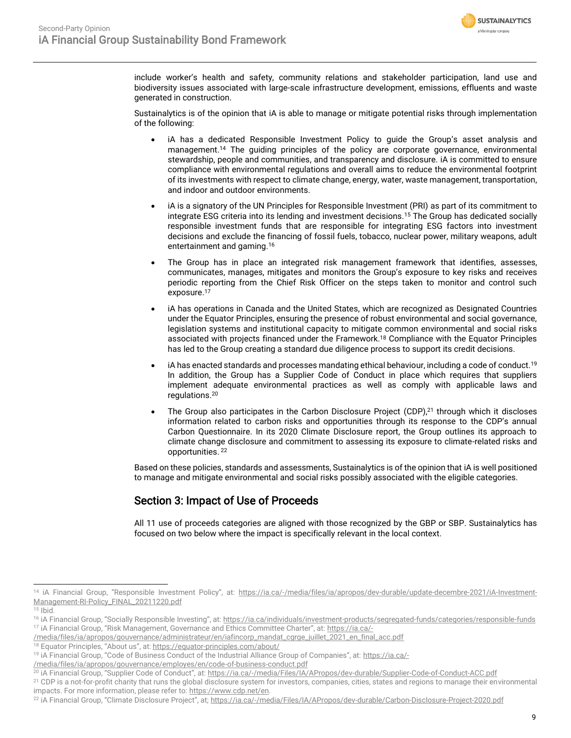

include worker's health and safety, community relations and stakeholder participation, land use and biodiversity issues associated with large-scale infrastructure development, emissions, effluents and waste generated in construction.

Sustainalytics is of the opinion that iA is able to manage or mitigate potential risks through implementation of the following:

- iA has a dedicated Responsible Investment Policy to guide the Group's asset analysis and management.<sup>14</sup> The guiding principles of the policy are corporate governance, environmental stewardship, people and communities, and transparency and disclosure. iA is committed to ensure compliance with environmental regulations and overall aims to reduce the environmental footprint of its investments with respect to climate change, energy, water, waste management, transportation, and indoor and outdoor environments.
- iA is a signatory of the UN Principles for Responsible Investment (PRI) as part of its commitment to integrate ESG criteria into its lending and investment decisions.<sup>15</sup> The Group has dedicated socially responsible investment funds that are responsible for integrating ESG factors into investment decisions and exclude the financing of fossil fuels, tobacco, nuclear power, military weapons, adult entertainment and gaming.<sup>16</sup>
- The Group has in place an integrated risk management framework that identifies, assesses, communicates, manages, mitigates and monitors the Group's exposure to key risks and receives periodic reporting from the Chief Risk Officer on the steps taken to monitor and control such exposure. 17
- iA has operations in Canada and the United States, which are recognized as Designated Countries under the Equator Principles, ensuring the presence of robust environmental and social governance, legislation systems and institutional capacity to mitigate common environmental and social risks associated with projects financed under the Framework.<sup>18</sup> Compliance with the Equator Principles has led to the Group creating a standard due diligence process to support its credit decisions.
- iA has enacted standards and processes mandating ethical behaviour, including a code of conduct.<sup>19</sup> In addition, the Group has a Supplier Code of Conduct in place which requires that suppliers implement adequate environmental practices as well as comply with applicable laws and regulations. 20
- The Group also participates in the Carbon Disclosure Project (CDP) $<sup>21</sup>$  through which it discloses</sup> information related to carbon risks and opportunities through its response to the CDP's annual Carbon Questionnaire. In its 2020 Climate Disclosure report, the Group outlines its approach to climate change disclosure and commitment to assessing its exposure to climate-related risks and opportunities. <sup>22</sup>

Based on these policies, standards and assessments, Sustainalytics is of the opinion that iA is well positioned to manage and mitigate environmental and social risks possibly associated with the eligible categories.

## Section 3: Impact of Use of Proceeds

All 11 use of proceeds categories are aligned with those recognized by the GBP or SBP. Sustainalytics has focused on two below where the impact is specifically relevant in the local context.

<sup>&</sup>lt;sup>14</sup> iA Financial Group, "Responsible Investment Policy", at: [https://ia.ca/-/media/files/ia/apropos/dev-durable/update-decembre-2021/iA-Investment-](https://ia.ca/-/media/files/ia/apropos/dev-durable/update-decembre-2021/iA-Investment-Management-RI-Policy_FINAL_20211220.pdf)[Management-RI-Policy\\_FINAL\\_20211220.pdf](https://ia.ca/-/media/files/ia/apropos/dev-durable/update-decembre-2021/iA-Investment-Management-RI-Policy_FINAL_20211220.pdf)

 $15$  Ibid.

<sup>16</sup> iA Financial Group, "Socially Responsible Investing", at: <https://ia.ca/individuals/investment-products/segregated-funds/categories/responsible-funds> <sup>17</sup> iA Financial Group, "Risk Management, Governance and Ethics Committee Charter", at: [https://ia.ca/-](https://ia.ca/-/media/files/ia/apropos/gouvernance/administrateur/en/iafincorp_mandat_cgrge_juillet_2021_en_final_acc.pdf)

[<sup>/</sup>media/files/ia/apropos/gouvernance/administrateur/en/iafincorp\\_mandat\\_cgrge\\_juillet\\_2021\\_en\\_final\\_acc.pdf](https://ia.ca/-/media/files/ia/apropos/gouvernance/administrateur/en/iafincorp_mandat_cgrge_juillet_2021_en_final_acc.pdf) <sup>18</sup> Equator Principles, "About us", at: <https://equator-principles.com/about/>

<sup>&</sup>lt;sup>19</sup> iA Financial Group, "Code of Business Conduct of the Industrial Alliance Group of Companies", at: [https://ia.ca/-](https://ia.ca/-/media/files/ia/apropos/gouvernance/employes/en/code-of-business-conduct.pdf)

[<sup>/</sup>media/files/ia/apropos/gouvernance/employes/en/code-of-business-conduct.pdf](https://ia.ca/-/media/files/ia/apropos/gouvernance/employes/en/code-of-business-conduct.pdf)

<sup>&</sup>lt;sup>20</sup> iA Financial Group, "Supplier Code of Conduct", at: <https://ia.ca/-/media/Files/IA/APropos/dev-durable/Supplier-Code-of-Conduct-ACC.pdf>

<sup>&</sup>lt;sup>21</sup> CDP is a not-for-profit charity that runs the global disclosure system for investors, companies, cities, states and regions to manage their environmental impacts. For more information, please refer to[: https://www.cdp.net/en.](https://www.cdp.net/en)

<sup>&</sup>lt;sup>22</sup> iA Financial Group, "Climate Disclosure Project", at; <https://ia.ca/-/media/Files/IA/APropos/dev-durable/Carbon-Disclosure-Project-2020.pdf>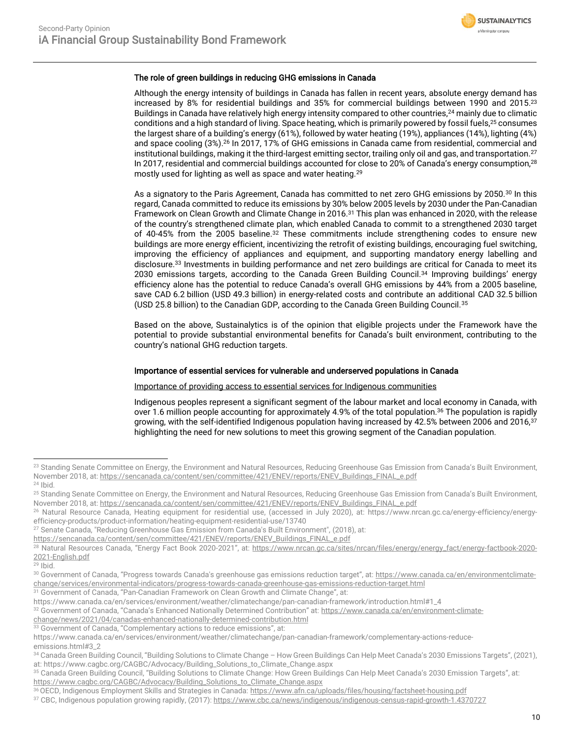

### The role of green buildings in reducing GHG emissions in Canada

Although the energy intensity of buildings in Canada has fallen in recent years, absolute energy demand has increased by 8% for residential buildings and 35% for commercial buildings between 1990 and 2015. 23 Buildings in Canada have relatively high energy intensity compared to other countries,<sup>24</sup> mainly due to climatic conditions and a high standard of living. Space heating, which is primarily powered by fossil fuels,<sup>25</sup> consumes the largest share of a building's energy (61%), followed by water heating (19%), appliances (14%), lighting (4%) and space cooling (3%).<sup>26</sup> In 2017, 17% of GHG emissions in Canada came from residential, commercial and institutional buildings, making it the third-largest emitting sector, trailing only oil and gas, and transportation.<sup>27</sup> In 2017, residential and commercial buildings accounted for close to 20% of Canada's energy consumption,<sup>28</sup> mostly used for lighting as well as space and water heating.<sup>29</sup>

As a signatory to the Paris Agreement, Canada has committed to net zero GHG emissions by 2050.<sup>30</sup> In this regard, Canada committed to reduce its emissions by 30% below 2005 levels by 2030 under the Pan-Canadian Framework on Clean Growth and Climate Change in 2016.<sup>31</sup> This plan was enhanced in 2020, with the release of the country's strengthened climate plan, which enabled Canada to commit to a strengthened 2030 target of 40-45% from the 2005 baseline.<sup>32</sup> These commitments include strengthening codes to ensure new buildings are more energy efficient, incentivizing the retrofit of existing buildings, encouraging fuel switching, improving the efficiency of appliances and equipment, and supporting mandatory energy labelling and disclosure.<sup>33</sup> Investments in building performance and net zero buildings are critical for Canada to meet its 2030 emissions targets, according to the Canada Green Building Council.<sup>34</sup> Improving buildings' energy efficiency alone has the potential to reduce Canada's overall GHG emissions by 44% from a 2005 baseline, save CAD 6.2 billion (USD 49.3 billion) in energy-related costs and contribute an additional CAD 32.5 billion (USD 25.8 billion) to the Canadian GDP, according to the Canada Green Building Council.<sup>35</sup>

Based on the above, Sustainalytics is of the opinion that eligible projects under the Framework have the potential to provide substantial environmental benefits for Canada's built environment, contributing to the country's national GHG reduction targets.

### Importance of essential services for vulnerable and underserved populations in Canada

### Importance of providing access to essential services for Indigenous communities

Indigenous peoples represent a significant segment of the labour market and local economy in Canada, with over 1.6 million people accounting for approximately 4.9% of the total population.<sup>36</sup> The population is rapidly growing, with the self-identified Indigenous population having increased by 42.5% between 2006 and 2016,<sup>37</sup> highlighting the need for new solutions to meet this growing segment of the Canadian population.

<sup>31</sup> Government of Canada, "Pan-Canadian Framework on Clean Growth and Climate Change", at:

33 Government of Canada, "Complementary actions to reduce emissions", at:

<sup>&</sup>lt;sup>23</sup> Standing Senate Committee on Energy, the Environment and Natural Resources, Reducing Greenhouse Gas Emission from Canada's Built Environment, November 2018, at[: https://sencanada.ca/content/sen/committee/421/ENEV/reports/ENEV\\_Buildings\\_FINAL\\_e.pdf](https://sencanada.ca/content/sen/committee/421/ENEV/reports/ENEV_Buildings_FINAL_e.pdf) <sup>24</sup> Ibid.

<sup>&</sup>lt;sup>25</sup> Standing Senate Committee on Energy, the Environment and Natural Resources, Reducing Greenhouse Gas Emission from Canada's Built Environment, November 2018, at[: https://sencanada.ca/content/sen/committee/421/ENEV/reports/ENEV\\_Buildings\\_FINAL\\_e.pdf](https://sencanada.ca/content/sen/committee/421/ENEV/reports/ENEV_Buildings_FINAL_e.pdf)

<sup>26</sup> Natural Resource Canada, Heating equipment for residential use, (accessed in July 2020), at: https://www.nrcan.gc.ca/energy-efficiency/energyefficiency-products/product-information/heating-equipment-residential-use/13740

<sup>27</sup> Senate Canada, "Reducing Greenhouse Gas Emission from Canada's Built Environment", (2018), at:

[https://sencanada.ca/content/sen/committee/421/ENEV/reports/ENEV\\_Buildings\\_FINAL\\_e.pdf](https://sencanada.ca/content/sen/committee/421/ENEV/reports/ENEV_Buildings_FINAL_e.pdf)

<sup>&</sup>lt;sup>28</sup> Natural Resources Canada, "Energy Fact Book 2020-2021", at: [https://www.nrcan.gc.ca/sites/nrcan/files/energy/energy\\_fact/energy-factbook-2020-](https://www.nrcan.gc.ca/sites/nrcan/files/energy/energy_fact/energy-factbook-2020-2021-English.pdf) [2021-English.pdf](https://www.nrcan.gc.ca/sites/nrcan/files/energy/energy_fact/energy-factbook-2020-2021-English.pdf)

 $29$  Ibid.

<sup>30</sup> Government of Canada, "Progress towards Canada's greenhouse gas emissions reduction target", at: [https://www.canada.ca/en/environmentclimate](https://www.canada.ca/en/environmentclimate-change/services/environmental-indicators/progress-towards-canada-greenhouse-gas-emissions-reduction-target.html)[change/services/environmental-indicators/progress-towards-canada-greenhouse-gas-emissions-reduction-target.html](https://www.canada.ca/en/environmentclimate-change/services/environmental-indicators/progress-towards-canada-greenhouse-gas-emissions-reduction-target.html)

https://www.canada.ca/en/services/environment/weather/climatechange/pan-canadian-framework/introduction.html#1\_4

<sup>32</sup> Government of Canada, "Canada's Enhanced Nationally Determined Contribution" at: [https://www.canada.ca/en/environment-climate-](https://www.canada.ca/en/environment-climate-change/news/2021/04/canadas-enhanced-nationally-determined-contribution.html)

[change/news/2021/04/canadas-enhanced-nationally-determined-contribution.html](https://www.canada.ca/en/environment-climate-change/news/2021/04/canadas-enhanced-nationally-determined-contribution.html)

https://www.canada.ca/en/services/environment/weather/climatechange/pan-canadian-framework/complementary-actions-reduceemissions.html#3\_2

<sup>&</sup>lt;sup>34</sup> Canada Green Building Council, "Building Solutions to Climate Change - How Green Buildings Can Help Meet Canada's 2030 Emissions Targets", (2021), at: https://www.cagbc.org/CAGBC/Advocacy/Building\_Solutions\_to\_Climate\_Change.aspx

<sup>35</sup> Canada Green Building Council, "Building Solutions to Climate Change: How Green Buildings Can Help Meet Canada's 2030 Emission Targets", at: [https://www.cagbc.org/CAGBC/Advocacy/Building\\_Solutions\\_to\\_Climate\\_Change.aspx](https://www.cagbc.org/CAGBC/Advocacy/Building_Solutions_to_Climate_Change.aspx)

<sup>36</sup>OECD, Indigenous Employment Skills and Strategies in Canada[: https://www.afn.ca/uploads/files/housing/factsheet-housing.pdf](https://www.afn.ca/uploads/files/housing/factsheet-housing.pdf)

<sup>37</sup> CBC, Indigenous population growing rapidly, (2017)[: https://www.cbc.ca/news/indigenous/indigenous-census-rapid-growth-1.4370727](https://www.cbc.ca/news/indigenous/indigenous-census-rapid-growth-1.4370727)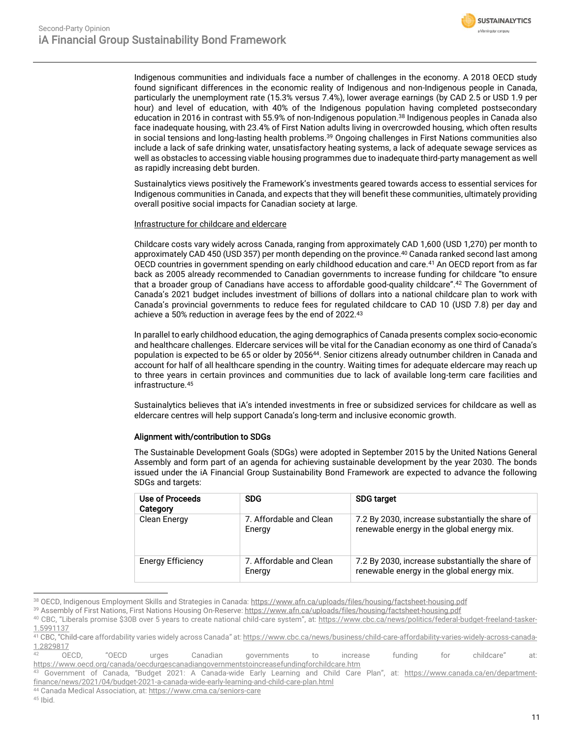

Indigenous communities and individuals face a number of challenges in the economy. A 2018 OECD study found significant differences in the economic reality of Indigenous and non-Indigenous people in Canada, particularly the unemployment rate (15.3% versus 7.4%), lower average earnings (by CAD 2.5 or USD 1.9 per hour) and level of education, with 40% of the Indigenous population having completed postsecondary education in 2016 in contrast with 55.9% of non-Indigenous population. <sup>38</sup> Indigenous peoples in Canada also face inadequate housing, with 23.4% of First Nation adults living in overcrowded housing, which often results in social tensions and long-lasting health problems.<sup>39</sup> Ongoing challenges in First Nations communities also include a lack of safe drinking water, unsatisfactory heating systems, a lack of adequate sewage services as well as obstacles to accessing viable housing programmes due to inadequate third-party management as well as rapidly increasing debt burden.

Sustainalytics views positively the Framework's investments geared towards access to essential services for Indigenous communities in Canada, and expects that they will benefit these communities, ultimately providing overall positive social impacts for Canadian society at large.

### Infrastructure for childcare and eldercare

Childcare costs vary widely across Canada, ranging from approximately CAD 1,600 (USD 1,270) per month to approximately CAD 450 (USD 357) per month depending on the province. <sup>40</sup> Canada ranked second last among OECD countries in government spending on early childhood education and care. <sup>41</sup> An OECD report from as far back as 2005 already recommended to Canadian governments to increase funding for childcare "to ensure that a broader group of Canadians have access to affordable good-quality childcare". <sup>42</sup> The Government of Canada's 2021 budget includes investment of billions of dollars into a national childcare plan to work with Canada's provincial governments to reduce fees for regulated childcare to CAD 10 (USD 7.8) per day and achieve a 50% reduction in average fees by the end of 2022.<sup>43</sup>

In parallel to early childhood education, the aging demographics of Canada presents complex socio-economic and healthcare challenges. Eldercare services will be vital for the Canadian economy as one third of Canada's population is expected to be 65 or older by 2056<sup>44</sup>. Senior citizens already outnumber children in Canada and account for half of all healthcare spending in the country. Waiting times for adequate eldercare may reach up to three years in certain provinces and communities due to lack of available long-term care facilities and infrastructure.<sup>45</sup>

Sustainalytics believes that iA's intended investments in free or subsidized services for childcare as well as eldercare centres will help support Canada's long-term and inclusive economic growth.

### Alignment with/contribution to SDGs

The Sustainable Development Goals (SDGs) were adopted in September 2015 by the United Nations General Assembly and form part of an agenda for achieving sustainable development by the year 2030. The bonds issued under the iA Financial Group Sustainability Bond Framework are expected to advance the following SDGs and targets:

| Use of Proceeds<br>Category | <b>SDG</b>                        | <b>SDG target</b>                                                                              |
|-----------------------------|-----------------------------------|------------------------------------------------------------------------------------------------|
| Clean Energy                | 7. Affordable and Clean<br>Energy | 7.2 By 2030, increase substantially the share of<br>renewable energy in the global energy mix. |
| <b>Energy Efficiency</b>    | 7. Affordable and Clean<br>Energy | 7.2 By 2030, increase substantially the share of<br>renewable energy in the global energy mix. |

<sup>38</sup> OECD, Indigenous Employment Skills and Strategies in Canada:<https://www.afn.ca/uploads/files/housing/factsheet-housing.pdf>

 $45$  Ihid.

<sup>39</sup> Assembly of First Nations, First Nations Housing On-Reserve[: https://www.afn.ca/uploads/files/housing/factsheet-housing.pdf](https://www.afn.ca/uploads/files/housing/factsheet-housing.pdf)

<sup>40</sup> CBC, "Liberals promise \$30B over 5 years to create national child-care system", at: [https://www.cbc.ca/news/politics/federal-budget-freeland-tasker-](https://www.cbc.ca/news/politics/federal-budget-freeland-tasker-1.5991137)[1.5991137](https://www.cbc.ca/news/politics/federal-budget-freeland-tasker-1.5991137)

<sup>&</sup>lt;sup>41</sup> CBC, "Child-care affordability varies widely across Canada" at: <u>https://www.cbc.ca/news/business/child-care-affordability-varies-widely-across-canada-</u>  $\frac{1.2829817}{42}$  $\frac{1.2829817}{42}$  $\frac{1.2829817}{42}$  OECD.

 $^{42}$  OECD, "OECD urges Canadian governments to increase funding for childcare" at: <https://www.oecd.org/canada/oecdurgescanadiangovernmentstoincreasefundingforchildcare.htm>

<sup>43</sup> Government of Canada, "Budget 2021: A Canada-wide Early Learning and Child Care Plan", at: [https://www.canada.ca/en/department](https://www.canada.ca/en/department-finance/news/2021/04/budget-2021-a-canada-wide-early-learning-and-child-care-plan.html)[finance/news/2021/04/budget-2021-a-canada-wide-early-learning-and-child-care-plan.html](https://www.canada.ca/en/department-finance/news/2021/04/budget-2021-a-canada-wide-early-learning-and-child-care-plan.html)

<sup>44</sup> Canada Medical Association, at[: https://www.cma.ca/seniors-care](https://www.cma.ca/seniors-care)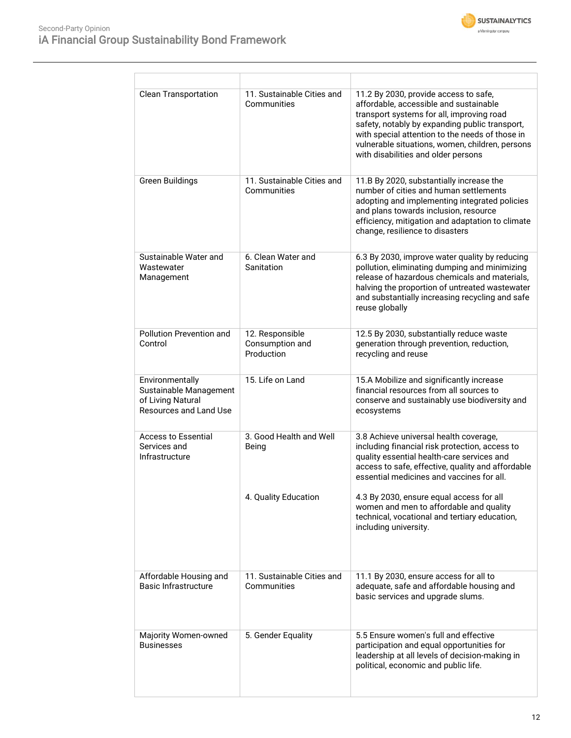

| <b>Clean Transportation</b>                                                              | 11. Sustainable Cities and<br>Communities        | 11.2 By 2030, provide access to safe,<br>affordable, accessible and sustainable<br>transport systems for all, improving road<br>safety, notably by expanding public transport,<br>with special attention to the needs of those in<br>vulnerable situations, women, children, persons<br>with disabilities and older persons |
|------------------------------------------------------------------------------------------|--------------------------------------------------|-----------------------------------------------------------------------------------------------------------------------------------------------------------------------------------------------------------------------------------------------------------------------------------------------------------------------------|
| <b>Green Buildings</b>                                                                   | 11. Sustainable Cities and<br>Communities        | 11.B By 2020, substantially increase the<br>number of cities and human settlements<br>adopting and implementing integrated policies<br>and plans towards inclusion, resource<br>efficiency, mitigation and adaptation to climate<br>change, resilience to disasters                                                         |
| Sustainable Water and<br>Wastewater<br>Management                                        | 6. Clean Water and<br>Sanitation                 | 6.3 By 2030, improve water quality by reducing<br>pollution, eliminating dumping and minimizing<br>release of hazardous chemicals and materials,<br>halving the proportion of untreated wastewater<br>and substantially increasing recycling and safe<br>reuse globally                                                     |
| Pollution Prevention and<br>Control                                                      | 12. Responsible<br>Consumption and<br>Production | 12.5 By 2030, substantially reduce waste<br>generation through prevention, reduction,<br>recycling and reuse                                                                                                                                                                                                                |
| Environmentally<br>Sustainable Management<br>of Living Natural<br>Resources and Land Use | 15. Life on Land                                 | 15.A Mobilize and significantly increase<br>financial resources from all sources to<br>conserve and sustainably use biodiversity and<br>ecosystems                                                                                                                                                                          |
| <b>Access to Essential</b><br>Services and<br>Infrastructure                             | 3. Good Health and Well<br>Being                 | 3.8 Achieve universal health coverage,<br>including financial risk protection, access to<br>quality essential health-care services and<br>access to safe, effective, quality and affordable<br>essential medicines and vaccines for all.                                                                                    |
|                                                                                          | 4. Quality Education                             | 4.3 By 2030, ensure equal access for all<br>women and men to affordable and quality<br>technical, vocational and tertiary education,<br>including university.                                                                                                                                                               |
| Affordable Housing and<br><b>Basic Infrastructure</b>                                    | 11. Sustainable Cities and<br>Communities        | 11.1 By 2030, ensure access for all to<br>adequate, safe and affordable housing and<br>basic services and upgrade slums.                                                                                                                                                                                                    |
| Majority Women-owned<br><b>Businesses</b>                                                | 5. Gender Equality                               | 5.5 Ensure women's full and effective<br>participation and equal opportunities for<br>leadership at all levels of decision-making in<br>political, economic and public life.                                                                                                                                                |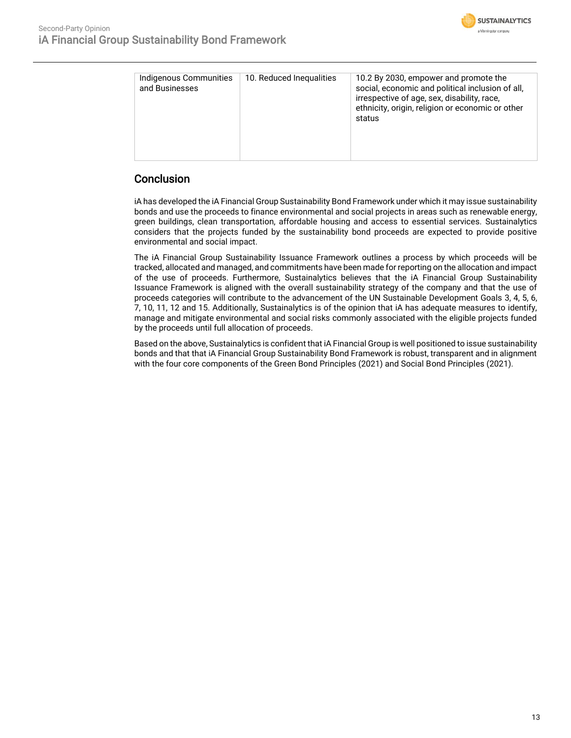

| Indigenous Communities<br>and Businesses | 10. Reduced Inequalities | 10.2 By 2030, empower and promote the<br>social, economic and political inclusion of all,<br>irrespective of age, sex, disability, race,<br>ethnicity, origin, religion or economic or other<br>status |
|------------------------------------------|--------------------------|--------------------------------------------------------------------------------------------------------------------------------------------------------------------------------------------------------|
|                                          |                          |                                                                                                                                                                                                        |

## **Conclusion**

iA has developed the iA Financial Group Sustainability Bond Framework under which it may issue sustainability bonds and use the proceeds to finance environmental and social projects in areas such as renewable energy, green buildings, clean transportation, affordable housing and access to essential services. Sustainalytics considers that the projects funded by the sustainability bond proceeds are expected to provide positive environmental and social impact.

The iA Financial Group Sustainability Issuance Framework outlines a process by which proceeds will be tracked, allocated and managed, and commitments have been made for reporting on the allocation and impact of the use of proceeds. Furthermore, Sustainalytics believes that the iA Financial Group Sustainability Issuance Framework is aligned with the overall sustainability strategy of the company and that the use of proceeds categories will contribute to the advancement of the UN Sustainable Development Goals 3, 4, 5, 6, 7, 10, 11, 12 and 15. Additionally, Sustainalytics is of the opinion that iA has adequate measures to identify, manage and mitigate environmental and social risks commonly associated with the eligible projects funded by the proceeds until full allocation of proceeds.

Based on the above, Sustainalytics is confident that iA Financial Group is well positioned to issue sustainability bonds and that that iA Financial Group Sustainability Bond Framework is robust, transparent and in alignment with the four core components of the Green Bond Principles (2021) and Social Bond Principles (2021).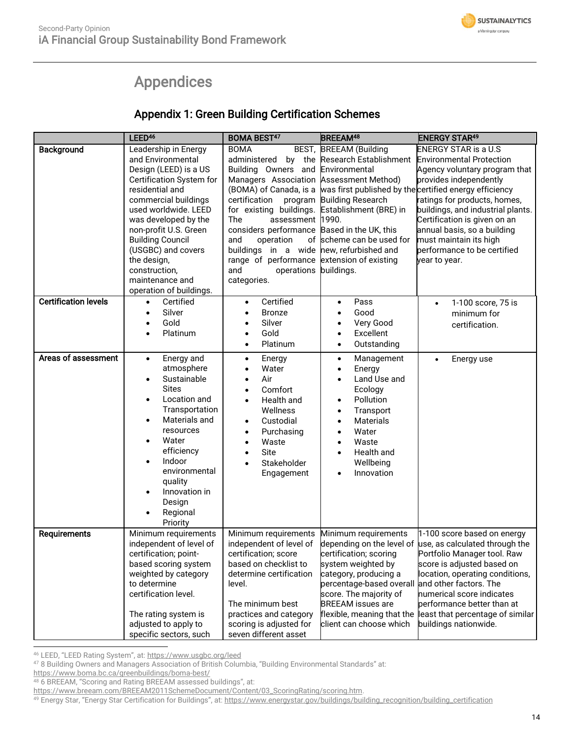# Appendices

## Appendix 1: Green Building Certification Schemes

<span id="page-13-0"></span>

|                             | LEED <sup>46</sup>                                                                                                                                                                                                                                                                                                                                | <b>BOMA BEST47</b>                                                                                                                                                                                                                                                                                                                                                                                            | <b>BREEAM<sup>48</sup></b>                                                                                                                                                                                                                                                    | <b>ENERGY STAR49</b>                                                                                                                                                                                                                                                                                                                                           |
|-----------------------------|---------------------------------------------------------------------------------------------------------------------------------------------------------------------------------------------------------------------------------------------------------------------------------------------------------------------------------------------------|---------------------------------------------------------------------------------------------------------------------------------------------------------------------------------------------------------------------------------------------------------------------------------------------------------------------------------------------------------------------------------------------------------------|-------------------------------------------------------------------------------------------------------------------------------------------------------------------------------------------------------------------------------------------------------------------------------|----------------------------------------------------------------------------------------------------------------------------------------------------------------------------------------------------------------------------------------------------------------------------------------------------------------------------------------------------------------|
| Background                  | Leadership in Energy<br>and Environmental<br>Design (LEED) is a US<br>Certification System for<br>residential and<br>commercial buildings<br>used worldwide. LEED<br>was developed by the<br>non-profit U.S. Green<br><b>Building Council</b><br>(USGBC) and covers<br>the design,<br>construction,<br>maintenance and<br>operation of buildings. | <b>BOMA</b><br>administered<br>Building Owners and Environmental<br>Managers Association Assessment Method)<br>(BOMA) of Canada, is a<br>certification<br>for existing buildings.<br>assessment 1990.<br>The<br>considers performance Based in the UK, this<br>and<br>operation<br>buildings in a wide new, refurbished and<br>range of performance extension of existing<br>and<br>operations<br>categories. | BEST, BREEAM (Building<br>by the Research Establishment Environmental Protection<br>program Building Research<br>Establishment (BRE) in<br>of scheme can be used for<br>buildings.                                                                                            | <b>ENERGY STAR is a U.S</b><br>Agency voluntary program that<br>provides independently<br>was first published by the certified energy efficiency<br>ratings for products, homes,<br>buildings, and industrial plants.<br>Certification is given on an<br>annual basis, so a building<br>must maintain its high<br>performance to be certified<br>year to year. |
| <b>Certification levels</b> | Certified<br>$\bullet$<br>Silver<br>$\bullet$<br>Gold<br>$\bullet$<br>Platinum                                                                                                                                                                                                                                                                    | Certified<br>$\bullet$<br><b>Bronze</b><br>$\bullet$<br>Silver<br>Gold<br>Platinum                                                                                                                                                                                                                                                                                                                            | Pass<br>$\bullet$<br>Good<br>$\bullet$<br>Very Good<br>$\bullet$<br>Excellent<br>$\bullet$<br>Outstanding<br>$\bullet$                                                                                                                                                        | 1-100 score, 75 is<br>$\bullet$<br>minimum for<br>certification.                                                                                                                                                                                                                                                                                               |
| Areas of assessment         | Energy and<br>$\bullet$<br>atmosphere<br>Sustainable<br>$\bullet$<br><b>Sites</b><br>Location and<br>$\bullet$<br>Transportation<br>Materials and<br>$\bullet$<br>resources<br>Water<br>٠<br>efficiency<br>Indoor<br>$\bullet$<br>environmental<br>quality<br>Innovation in<br>$\bullet$<br>Design<br>Regional<br>Priority                        | Energy<br>$\bullet$<br>Water<br>Air<br>Comfort<br>Health and<br>Wellness<br>Custodial<br>$\bullet$<br>Purchasing<br>$\bullet$<br>Waste<br>Site<br>Stakeholder<br>Engagement                                                                                                                                                                                                                                   | Management<br>$\bullet$<br>Energy<br>$\bullet$<br>Land Use and<br>$\bullet$<br>Ecology<br>Pollution<br>$\bullet$<br>Transport<br>$\bullet$<br><b>Materials</b><br>$\bullet$<br>Water<br>$\bullet$<br>Waste<br>$\bullet$<br>Health and<br>$\bullet$<br>Wellbeing<br>Innovation | Energy use<br>$\bullet$                                                                                                                                                                                                                                                                                                                                        |
| Requirements                | Minimum requirements<br>independent of level of<br>certification; point-<br>based scoring system<br>weighted by category<br>to determine<br>certification level.<br>The rating system is<br>adjusted to apply to<br>specific sectors, such                                                                                                        | Minimum requirements<br>independent of level of<br>certification; score<br>based on checklist to<br>determine certification<br>level.<br>The minimum best<br>practices and category<br>scoring is adjusted for<br>seven different asset                                                                                                                                                                       | Minimum requirements<br>certification; scoring<br>system weighted by<br>category, producing a<br>percentage-based overall and other factors. The<br>score. The majority of<br><b>BREEAM</b> issues are<br>flexible, meaning that the<br>client can choose which               | 1-100 score based on energy<br>depending on the level of use, as calculated through the<br>Portfolio Manager tool. Raw<br>score is adjusted based on<br>location, operating conditions,<br>numerical score indicates<br>performance better than at<br>least that percentage of similar<br>buildings nationwide.                                                |

<sup>46</sup> LEED, "LEED Rating System", at: <https://www.usgbc.org/leed>

<https://www.boma.bc.ca/greenbuildings/boma-best/>

49 Energy Star, "Energy Star Certification for Buildings", at: [https://www.energystar.gov/buildings/building\\_recognition/building\\_certification](https://www.energystar.gov/buildings/building_recognition/building_certification)

<sup>47</sup> 8 Building Owners and Managers Association of British Columbia, "Building Environmental Standards" at:

<sup>48 6</sup> BREEAM, "Scoring and Rating BREEAM assessed buildings", at:

[https://www.breeam.com/BREEAM2011SchemeDocument/Content/03\\_ScoringRating/scoring.htm.](https://www.breeam.com/BREEAM2011SchemeDocument/Content/03_ScoringRating/scoring.htm)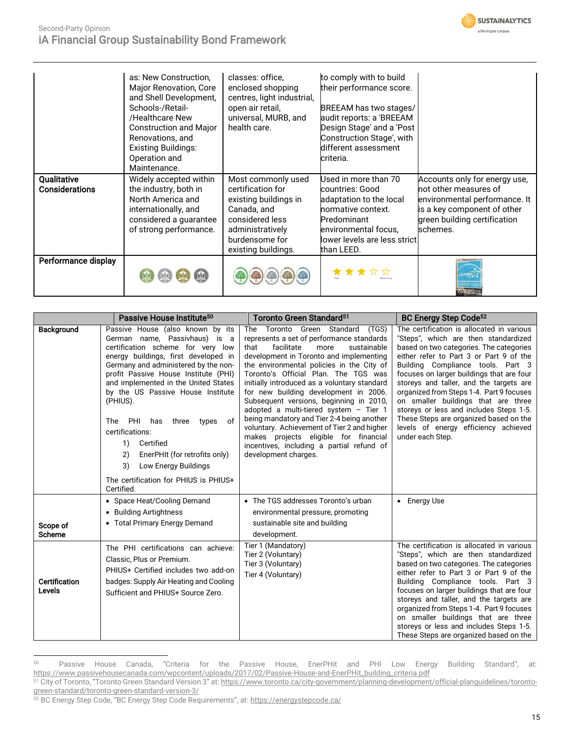

### Second-Party Opinion iA Financial Group Sustainability Bond Framework

|                               | as: New Construction.<br>Major Renovation, Core<br>and Shell Development,<br>Schools-/Retail-<br>/Healthcare New<br><b>Construction and Major</b><br>Renovations, and<br><b>Existing Buildings:</b><br>Operation and<br>Maintenance. | classes: office,<br>enclosed shopping<br>centres, light industrial,<br>open air retail,<br>universal, MURB, and<br>health care.                                 | to comply with to build<br>their performance score.<br>BREEAM has two stages/<br>audit reports: a 'BREEAM<br>Design Stage' and a 'Post<br>Construction Stage', with<br>different assessment<br>criteria. |                                                                                                                                                                    |
|-------------------------------|--------------------------------------------------------------------------------------------------------------------------------------------------------------------------------------------------------------------------------------|-----------------------------------------------------------------------------------------------------------------------------------------------------------------|----------------------------------------------------------------------------------------------------------------------------------------------------------------------------------------------------------|--------------------------------------------------------------------------------------------------------------------------------------------------------------------|
| Qualitative<br>Considerations | Widely accepted within<br>the industry, both in<br>North America and<br>internationally, and<br>considered a guarantee<br>of strong performance.                                                                                     | Most commonly used<br>certification for<br>existing buildings in<br>Canada, and<br>considered less<br>administratively<br>burdensome for<br>existing buildings. | Used in more than 70<br>countries: Good<br>adaptation to the local<br>normative context.<br>Predominant<br>environmental focus,<br>lower levels are less strict<br>than LEED.                            | Accounts only for energy use,<br>not other measures of<br>environmental performance. It<br>is a key component of other<br>green building certification<br>schemes. |
| Performance display           |                                                                                                                                                                                                                                      |                                                                                                                                                                 |                                                                                                                                                                                                          | <b>2020 SUPPLER</b>                                                                                                                                                |

|                                                             | Passive House Institute <sup>50</sup>                                                                                                                                                                                                                                                                                                                                                                                                                                                                                                         | Toronto Green Standard <sup>51</sup>                                                                                                                                                                                                                                                                                                                                                                                                                                                                                                                                                                                                                   | BC Energy Step Code <sup>52</sup>                                                                                                                                                                                                                                                                                                                                                                                                                                                                                                        |
|-------------------------------------------------------------|-----------------------------------------------------------------------------------------------------------------------------------------------------------------------------------------------------------------------------------------------------------------------------------------------------------------------------------------------------------------------------------------------------------------------------------------------------------------------------------------------------------------------------------------------|--------------------------------------------------------------------------------------------------------------------------------------------------------------------------------------------------------------------------------------------------------------------------------------------------------------------------------------------------------------------------------------------------------------------------------------------------------------------------------------------------------------------------------------------------------------------------------------------------------------------------------------------------------|------------------------------------------------------------------------------------------------------------------------------------------------------------------------------------------------------------------------------------------------------------------------------------------------------------------------------------------------------------------------------------------------------------------------------------------------------------------------------------------------------------------------------------------|
| <b>Background</b>                                           | Passive House (also known by its<br>German name, Passivhaus) is a<br>certification scheme for very low<br>energy buildings, first developed in<br>Germany and administered by the non-<br>profit Passive House Institute (PHI)<br>and implemented in the United States<br>by the US Passive House Institute<br>(PHIUS).<br>PHI<br>three<br><b>The</b><br>has<br>types<br>of<br>certifications:<br>Certified<br>1)<br>EnerPHIt (for retrofits only)<br>2)<br>Low Energy Buildings<br>3)<br>The certification for PHIUS is PHIUS+<br>Certified. | The Toronto Green Standard<br>(TGS)<br>represents a set of performance standards<br>that<br>facilitate<br>sustainable<br>more<br>development in Toronto and implementing<br>the environmental policies in the City of<br>Toronto's Official Plan. The TGS was<br>initially introduced as a voluntary standard<br>for new building development in 2006.<br>Subsequent versions, beginning in 2010,<br>adopted a multi-tiered system - Tier 1<br>being mandatory and Tier 2-4 being another<br>voluntary. Achievement of Tier 2 and higher<br>makes projects eligible for financial<br>incentives, including a partial refund of<br>development charges. | The certification is allocated in various<br>"Steps", which are then standardized<br>based on two categories. The categories<br>either refer to Part 3 or Part 9 of the<br>Building Compliance tools. Part 3<br>focuses on larger buildings that are four<br>storeys and taller, and the targets are<br>organized from Steps 1-4. Part 9 focuses<br>on smaller buildings that are three<br>storeys or less and includes Steps 1-5.<br>These Steps are organized based on the<br>levels of energy efficiency achieved<br>under each Step. |
| Scope of<br><b>Scheme</b><br><b>Certification</b><br>Levels | • Space Heat/Cooling Demand<br>• Building Airtightness<br>• Total Primary Energy Demand<br>The PHI certifications can achieve:<br>Classic, Plus or Premium.<br>PHIUS+ Certified includes two add-on<br>badges: Supply Air Heating and Cooling<br>Sufficient and PHIUS+ Source Zero.                                                                                                                                                                                                                                                           | • The TGS addresses Toronto's urban<br>environmental pressure, promoting<br>sustainable site and building<br>development.<br>Tier 1 (Mandatory)<br>Tier 2 (Voluntary)<br>Tier 3 (Voluntary)<br>Tier 4 (Voluntary)                                                                                                                                                                                                                                                                                                                                                                                                                                      | • Energy Use<br>The certification is allocated in various<br>"Steps", which are then standardized<br>based on two categories. The categories<br>either refer to Part 3 or Part 9 of the<br>Building Compliance tools. Part 3<br>focuses on larger buildings that are four<br>storeys and taller, and the targets are<br>organized from Steps 1-4. Part 9 focuses<br>on smaller buildings that are three<br>storeys or less and includes Steps 1-5.<br>These Steps are organized based on the                                             |

<sup>50</sup> Passive House Canada, "Criteria for the Passive House, EnerPHit and PHI Low Energy Building Standard", at: [https://www.passivehousecanada.com/wpcontent/uploads/2017/02/Passive-House-and-EnerPHit\\_building\\_criteria.pdf](https://www.passivehousecanada.com/wpcontent/uploads/2017/02/Passive-House-and-EnerPHit_building_criteria.pdf)

<sup>51</sup> City of Toronto, "Toronto Green Standard Version 3" at: [https://www.toronto.ca/city-government/planning-development/official-planguidelines/toronto](https://www.toronto.ca/city-government/planning-development/official-planguidelines/toronto-green-standard/toronto-green-standard-version-3/)[green-standard/toronto-green-standard-version-3/](https://www.toronto.ca/city-government/planning-development/official-planguidelines/toronto-green-standard/toronto-green-standard-version-3/)

<sup>52</sup> BC Energy Step Code, "BC Energy Step Code Requirements", at: <https://energystepcode.ca/>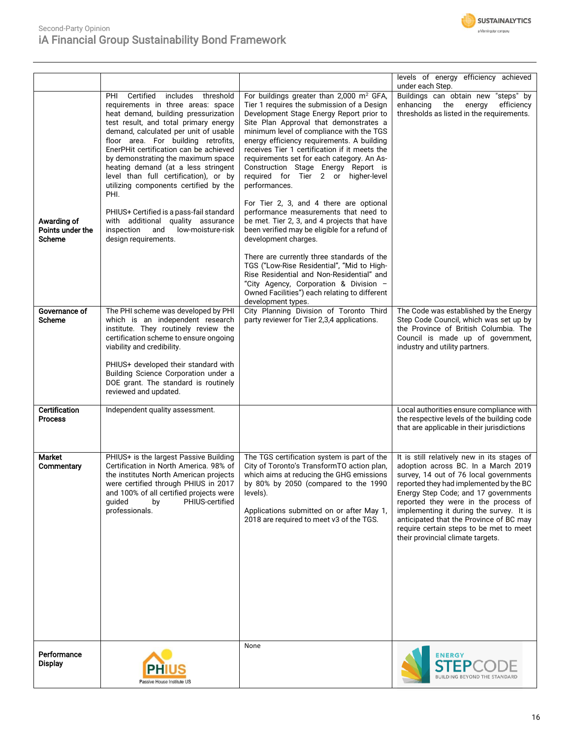

## Second-Party Opinion iA Financial Group Sustainability Bond Framework

|                                           |                                                                                                                                                                                                                                                                                                                                                                                                                                                                |                                                                                                                                                                                                                                                                                                                                                                                                                                                                                                                             | levels of energy efficiency achieved<br>under each Step.                                                                                                                                                                                                                                                                                                                                                                       |
|-------------------------------------------|----------------------------------------------------------------------------------------------------------------------------------------------------------------------------------------------------------------------------------------------------------------------------------------------------------------------------------------------------------------------------------------------------------------------------------------------------------------|-----------------------------------------------------------------------------------------------------------------------------------------------------------------------------------------------------------------------------------------------------------------------------------------------------------------------------------------------------------------------------------------------------------------------------------------------------------------------------------------------------------------------------|--------------------------------------------------------------------------------------------------------------------------------------------------------------------------------------------------------------------------------------------------------------------------------------------------------------------------------------------------------------------------------------------------------------------------------|
|                                           | Certified<br>includes threshold<br>PHI<br>requirements in three areas: space<br>heat demand, building pressurization<br>test result, and total primary energy<br>demand, calculated per unit of usable<br>floor area. For building retrofits,<br>EnerPHit certification can be achieved<br>by demonstrating the maximum space<br>heating demand (at a less stringent<br>level than full certification), or by<br>utilizing components certified by the<br>PHI. | For buildings greater than 2,000 m <sup>2</sup> GFA,<br>Tier 1 requires the submission of a Design<br>Development Stage Energy Report prior to<br>Site Plan Approval that demonstrates a<br>minimum level of compliance with the TGS<br>energy efficiency requirements. A building<br>receives Tier 1 certification if it meets the<br>requirements set for each category. An As-<br>Construction Stage Energy Report is<br>required for Tier 2 or higher-level<br>performances.<br>For Tier 2, 3, and 4 there are optional | Buildings can obtain new "steps" by<br>efficiency<br>enhancing the energy<br>thresholds as listed in the requirements.                                                                                                                                                                                                                                                                                                         |
| Awarding of<br>Points under the<br>Scheme | PHIUS+ Certified is a pass-fail standard<br>with additional quality assurance<br>inspection<br>and low-moisture-risk<br>design requirements.                                                                                                                                                                                                                                                                                                                   | performance measurements that need to<br>be met. Tier 2, 3, and 4 projects that have<br>been verified may be eligible for a refund of<br>development charges.                                                                                                                                                                                                                                                                                                                                                               |                                                                                                                                                                                                                                                                                                                                                                                                                                |
|                                           |                                                                                                                                                                                                                                                                                                                                                                                                                                                                | There are currently three standards of the<br>TGS ("Low-Rise Residential", "Mid to High-<br>Rise Residential and Non-Residential" and<br>"City Agency, Corporation & Division -<br>Owned Facilities") each relating to different<br>development types.                                                                                                                                                                                                                                                                      |                                                                                                                                                                                                                                                                                                                                                                                                                                |
| Governance of<br>Scheme                   | The PHI scheme was developed by PHI<br>which is an independent research<br>institute. They routinely review the<br>certification scheme to ensure ongoing<br>viability and credibility.                                                                                                                                                                                                                                                                        | City Planning Division of Toronto Third<br>party reviewer for Tier 2,3,4 applications.                                                                                                                                                                                                                                                                                                                                                                                                                                      | The Code was established by the Energy<br>Step Code Council, which was set up by<br>the Province of British Columbia. The<br>Council is made up of government,<br>industry and utility partners.                                                                                                                                                                                                                               |
|                                           | PHIUS+ developed their standard with<br>Building Science Corporation under a<br>DOE grant. The standard is routinely<br>reviewed and updated.                                                                                                                                                                                                                                                                                                                  |                                                                                                                                                                                                                                                                                                                                                                                                                                                                                                                             |                                                                                                                                                                                                                                                                                                                                                                                                                                |
| <b>Certification</b><br><b>Process</b>    | Independent quality assessment.                                                                                                                                                                                                                                                                                                                                                                                                                                |                                                                                                                                                                                                                                                                                                                                                                                                                                                                                                                             | Local authorities ensure compliance with<br>the respective levels of the building code<br>that are applicable in their jurisdictions                                                                                                                                                                                                                                                                                           |
| Market<br>Commentary                      | PHIUS+ is the largest Passive Building<br>Certification in North America. 98% of<br>the institutes North American projects<br>were certified through PHIUS in 2017<br>and 100% of all certified projects were<br>PHIUS-certified<br>guided<br>by<br>professionals.                                                                                                                                                                                             | The TGS certification system is part of the<br>City of Toronto's TransformTO action plan,<br>which aims at reducing the GHG emissions<br>by 80% by 2050 (compared to the 1990<br>levels).<br>Applications submitted on or after May 1,<br>2018 are required to meet v3 of the TGS.                                                                                                                                                                                                                                          | It is still relatively new in its stages of<br>adoption across BC. In a March 2019<br>survey, 14 out of 76 local governments<br>reported they had implemented by the BC<br>Energy Step Code; and 17 governments<br>reported they were in the process of<br>implementing it during the survey. It is<br>anticipated that the Province of BC may<br>require certain steps to be met to meet<br>their provincial climate targets. |
| Performance<br><b>Display</b>             | PH<br>Passive House Institute US                                                                                                                                                                                                                                                                                                                                                                                                                               | None                                                                                                                                                                                                                                                                                                                                                                                                                                                                                                                        | <b>ENERGY</b><br>BUILDING BEYOND THE STANDARI                                                                                                                                                                                                                                                                                                                                                                                  |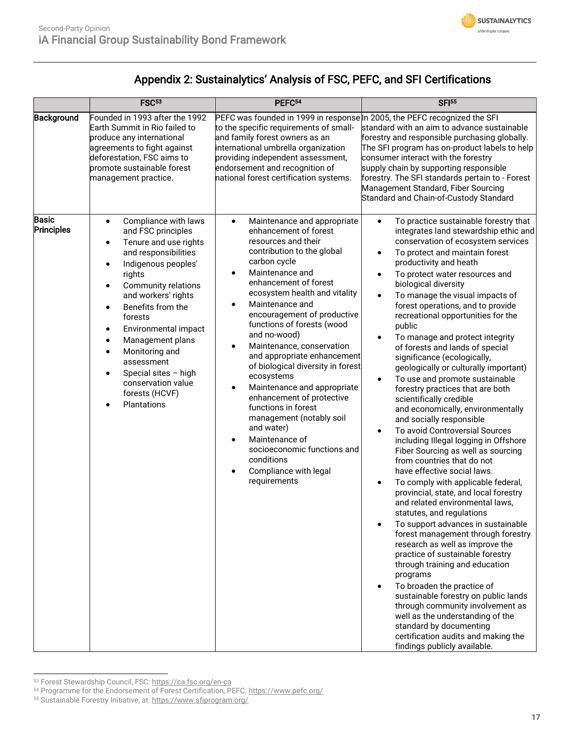

# Appendix 2: Sustainalytics' Analysis of FSC, PEFC, and SFI Certifications

|                            | FSC <sup>53</sup>                                                                                                                                                                                                                                                                                                                                                                                                                                            | PEFC <sup>54</sup>                                                                                                                                                                                                                                                                                                                                                                                                                                                                                                                                                                                                                       | <b>SFI</b> <sup>55</sup>                                                                                                                                                                                                                                                                                                                                                                                                                                                                                                                                                                                                                                                                                                                                                                                                                                                                                                                                                                                                                                                                                                                                                                                                                                                                                                                                                                                                                                                                                                                     |
|----------------------------|--------------------------------------------------------------------------------------------------------------------------------------------------------------------------------------------------------------------------------------------------------------------------------------------------------------------------------------------------------------------------------------------------------------------------------------------------------------|------------------------------------------------------------------------------------------------------------------------------------------------------------------------------------------------------------------------------------------------------------------------------------------------------------------------------------------------------------------------------------------------------------------------------------------------------------------------------------------------------------------------------------------------------------------------------------------------------------------------------------------|----------------------------------------------------------------------------------------------------------------------------------------------------------------------------------------------------------------------------------------------------------------------------------------------------------------------------------------------------------------------------------------------------------------------------------------------------------------------------------------------------------------------------------------------------------------------------------------------------------------------------------------------------------------------------------------------------------------------------------------------------------------------------------------------------------------------------------------------------------------------------------------------------------------------------------------------------------------------------------------------------------------------------------------------------------------------------------------------------------------------------------------------------------------------------------------------------------------------------------------------------------------------------------------------------------------------------------------------------------------------------------------------------------------------------------------------------------------------------------------------------------------------------------------------|
| Background<br><b>Basic</b> | Founded in 1993 after the 1992<br>Earth Summit in Rio failed to<br>produce any international<br>agreements to fight against<br>deforestation, FSC aims to<br>promote sustainable forest<br>management practice.<br>Compliance with laws<br>$\bullet$                                                                                                                                                                                                         | PEFC was founded in 1999 in response In 2005, the PEFC recognized the SFI<br>to the specific requirements of small-<br>and family forest owners as an<br>international umbrella organization<br>providing independent assessment,<br>endorsement and recognition of<br>national forest certification systems.<br>Maintenance and appropriate<br>$\bullet$                                                                                                                                                                                                                                                                                | standard with an aim to advance sustainable<br>forestry and responsible purchasing globally.<br>The SFI program has on-product labels to help<br>consumer interact with the forestry<br>supply chain by supporting responsible<br>forestry. The SFI standards pertain to - Forest<br>Management Standard, Fiber Sourcing<br>Standard and Chain-of-Custody Standard<br>To practice sustainable forestry that<br>$\bullet$                                                                                                                                                                                                                                                                                                                                                                                                                                                                                                                                                                                                                                                                                                                                                                                                                                                                                                                                                                                                                                                                                                                     |
| Principles                 | and FSC principles<br>Tenure and use rights<br>$\bullet$<br>and responsibilities<br>Indigenous peoples'<br>$\bullet$<br>rights<br><b>Community relations</b><br>$\bullet$<br>and workers' rights<br>Benefits from the<br>$\bullet$<br>forests<br>Environmental impact<br>$\bullet$<br>Management plans<br>$\bullet$<br>Monitoring and<br>$\bullet$<br>assessment<br>Special sites - high<br>$\bullet$<br>conservation value<br>forests (HCVF)<br>Plantations | enhancement of forest<br>resources and their<br>contribution to the global<br>carbon cycle<br>Maintenance and<br>enhancement of forest<br>ecosystem health and vitality<br>Maintenance and<br>$\bullet$<br>encouragement of productive<br>functions of forests (wood<br>and no-wood)<br>Maintenance, conservation<br>and appropriate enhancement<br>of biological diversity in forest<br>ecosystems<br>Maintenance and appropriate<br>enhancement of protective<br>functions in forest<br>management (notably soil<br>and water)<br>Maintenance of<br>socioeconomic functions and<br>conditions<br>Compliance with legal<br>requirements | integrates land stewardship ethic and<br>conservation of ecosystem services<br>To protect and maintain forest<br>$\bullet$<br>productivity and heath<br>To protect water resources and<br>$\bullet$<br>biological diversity<br>To manage the visual impacts of<br>$\bullet$<br>forest operations, and to provide<br>recreational opportunities for the<br>public<br>To manage and protect integrity<br>$\bullet$<br>of forests and lands of special<br>significance (ecologically,<br>geologically or culturally important)<br>To use and promote sustainable<br>$\bullet$<br>forestry practices that are both<br>scientifically credible<br>and economically, environmentally<br>and socially responsible<br>To avoid Controversial Sources<br>$\bullet$<br>including Illegal logging in Offshore<br>Fiber Sourcing as well as sourcing<br>from countries that do not<br>have effective social laws.<br>To comply with applicable federal,<br>$\bullet$<br>provincial, state, and local forestry<br>and related environmental laws,<br>statutes, and regulations<br>To support advances in sustainable<br>$\bullet$<br>forest management through forestry<br>research as well as improve the<br>practice of sustainable forestry<br>through training and education<br>programs<br>To broaden the practice of<br>$\bullet$<br>sustainable forestry on public lands<br>through community involvement as<br>well as the understanding of the<br>standard by documenting<br>certification audits and making the<br>findings publicly available. |

<sup>53</sup> Forest Stewardship Council, FSC[: https://ca.fsc.org/en-ca](https://ca.fsc.org/en-ca)

<sup>54</sup> Programme for the Endorsement of Forest Certification, PEFC[: https://www.pefc.org/](https://www.pefc.org/)

<sup>55</sup> Sustainable Forestry Initiative, at[: https://www.sfiprogram.org/](https://www.sfiprogram.org/)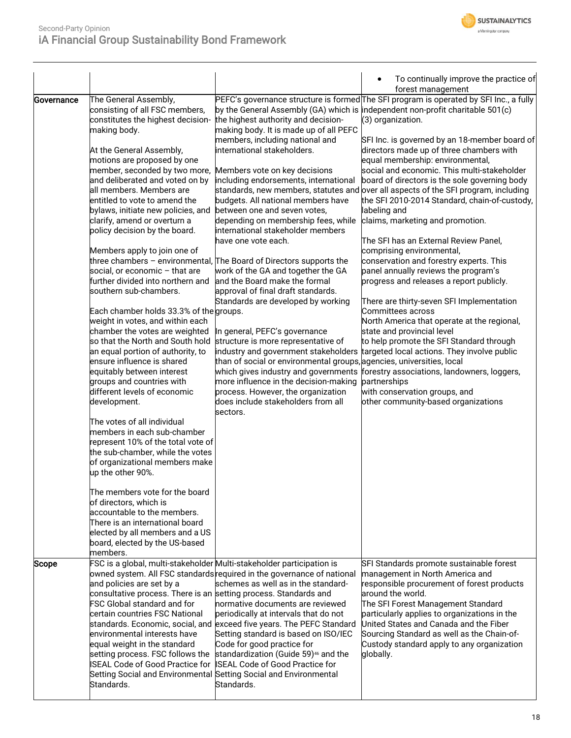

|              |                                                                                                                                                                                                                                                                                                                                                                                                                                                                                                                                                                                                                                                                                                                                                                                                                                                                                                                                                                                                                                                                                                                                                                                                                                                                                                   |                                                                                                                                                                                                                                                                                                                                                                                                                                                                                                                                                                                                                                                                                                                                                                                                                                                                                                                                                                                                | To continually improve the practice of<br>forest management                                                                                                                                                                                                                                                                                                                                                                                                                                                                                                                                                                                                                                                                                                                                                                                                                                                                                                                                                                                                                                                                                                                                                      |
|--------------|---------------------------------------------------------------------------------------------------------------------------------------------------------------------------------------------------------------------------------------------------------------------------------------------------------------------------------------------------------------------------------------------------------------------------------------------------------------------------------------------------------------------------------------------------------------------------------------------------------------------------------------------------------------------------------------------------------------------------------------------------------------------------------------------------------------------------------------------------------------------------------------------------------------------------------------------------------------------------------------------------------------------------------------------------------------------------------------------------------------------------------------------------------------------------------------------------------------------------------------------------------------------------------------------------|------------------------------------------------------------------------------------------------------------------------------------------------------------------------------------------------------------------------------------------------------------------------------------------------------------------------------------------------------------------------------------------------------------------------------------------------------------------------------------------------------------------------------------------------------------------------------------------------------------------------------------------------------------------------------------------------------------------------------------------------------------------------------------------------------------------------------------------------------------------------------------------------------------------------------------------------------------------------------------------------|------------------------------------------------------------------------------------------------------------------------------------------------------------------------------------------------------------------------------------------------------------------------------------------------------------------------------------------------------------------------------------------------------------------------------------------------------------------------------------------------------------------------------------------------------------------------------------------------------------------------------------------------------------------------------------------------------------------------------------------------------------------------------------------------------------------------------------------------------------------------------------------------------------------------------------------------------------------------------------------------------------------------------------------------------------------------------------------------------------------------------------------------------------------------------------------------------------------|
| Governance   | The General Assembly,<br>consisting of all FSC members,<br>constitutes the highest decision-<br>making body.<br>At the General Assembly,<br>motions are proposed by one<br>member, seconded by two more,<br>and deliberated and voted on by<br>all members. Members are<br>entitled to vote to amend the<br>bylaws, initiate new policies, and<br>clarify, amend or overturn a<br>policy decision by the board.<br>Members apply to join one of<br>social, or economic - that are<br>further divided into northern and<br>southern sub-chambers.<br>Each chamber holds 33.3% of the groups.<br>weight in votes, and within each<br>chamber the votes are weighted<br>so that the North and South hold<br>an equal portion of authority, to<br>ensure influence is shared<br>equitably between interest<br>groups and countries with<br>different levels of economic<br>development.<br>The votes of all individual<br>members in each sub-chamber<br>represent 10% of the total vote of<br>the sub-chamber, while the votes<br>of organizational members make<br>up the other 90%.<br>The members vote for the board<br>of directors, which is<br>accountable to the members.<br>There is an international board<br>elected by all members and a US<br>board, elected by the US-based<br>members. | the highest authority and decision-<br>making body. It is made up of all PEFC<br>members, including national and<br>international stakeholders.<br>Members vote on key decisions<br>including endorsements, international<br>budgets. All national members have<br>between one and seven votes,<br>depending on membership fees, while<br>international stakeholder members<br>have one vote each.<br>three chambers - environmental, The Board of Directors supports the<br>work of the GA and together the GA<br>and the Board make the formal<br>approval of final draft standards.<br>Standards are developed by working<br>In general, PEFC's governance<br>structure is more representative of<br>industry and government stakeholders<br>than of social or environmental groups, agencies, universities, local<br>which gives industry and governments<br>more influence in the decision-making<br>process. However, the organization<br>does include stakeholders from all<br>sectors. | PEFC's governance structure is formed The SFI program is operated by SFI Inc., a fully<br>by the General Assembly (GA) which is independent non-profit charitable 501(c)<br>(3) organization.<br>SFI Inc. is governed by an 18-member board of<br>directors made up of three chambers with<br>equal membership: environmental,<br>social and economic. This multi-stakeholder<br>board of directors is the sole governing body<br>standards, new members, statutes and over all aspects of the SFI program, including<br>the SFI 2010-2014 Standard, chain-of-custody,<br>labeling and<br>claims, marketing and promotion.<br>The SFI has an External Review Panel,<br>comprising environmental,<br>conservation and forestry experts. This<br>panel annually reviews the program's<br>progress and releases a report publicly.<br>There are thirty-seven SFI Implementation<br>Committees across<br>North America that operate at the regional,<br>state and provincial level<br>to help promote the SFI Standard through<br>targeted local actions. They involve public<br>forestry associations, landowners, loggers,<br>partnerships<br>with conservation groups, and<br>other community-based organizations |
| <b>Scope</b> | and policies are set by a<br>consultative process. There is an setting process. Standards and<br>FSC Global standard and for<br>certain countries FSC National<br>environmental interests have<br>equal weight in the standard<br>setting process. FSC follows the<br><b>ISEAL Code of Good Practice for</b><br>Standards.                                                                                                                                                                                                                                                                                                                                                                                                                                                                                                                                                                                                                                                                                                                                                                                                                                                                                                                                                                        | FSC is a global, multi-stakeholder Multi-stakeholder participation is<br>owned system. All FSC standards required in the governance of national<br>schemes as well as in the standard-<br>normative documents are reviewed<br>periodically at intervals that do not<br>standards. Economic, social, and exceed five years. The PEFC Standard<br>Setting standard is based on ISO/IEC<br>Code for good practice for<br>standardization (Guide 59) <sup>46</sup> and the<br><b>ISEAL Code of Good Practice for</b><br>Setting Social and Environmental Setting Social and Environmental<br>Standards.                                                                                                                                                                                                                                                                                                                                                                                            | SFI Standards promote sustainable forest<br>management in North America and<br>responsible procurement of forest products<br>around the world.<br>The SFI Forest Management Standard<br>particularly applies to organizations in the<br>United States and Canada and the Fiber<br>Sourcing Standard as well as the Chain-of-<br>Custody standard apply to any organization<br>globally.                                                                                                                                                                                                                                                                                                                                                                                                                                                                                                                                                                                                                                                                                                                                                                                                                          |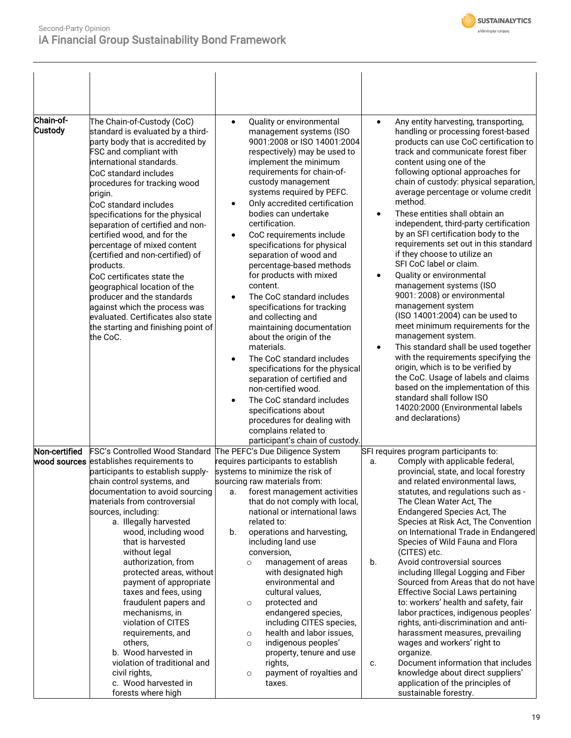

| Chain-of-<br><b>Custody</b> | The Chain-of-Custody (CoC)<br>standard is evaluated by a third-<br>party body that is accredited by<br>FSC and compliant with<br>international standards.<br>CoC standard includes<br>procedures for tracking wood<br>origin.<br>CoC standard includes<br>specifications for the physical<br>separation of certified and non-<br>certified wood, and for the<br>percentage of mixed content<br>(certified and non-certified) of<br>products.                                                                                                                                                                                                                  | Quality or environmental<br>$\bullet$<br>management systems (ISO<br>9001:2008 or ISO 14001:2004<br>respectively) may be used to<br>implement the minimum<br>requirements for chain-of-<br>custody management<br>systems required by PEFC.<br>Only accredited certification<br>bodies can undertake<br>certification.<br>CoC requirements include<br>$\bullet$<br>specifications for physical<br>separation of wood and<br>percentage-based methods                                                                                                                                                                                                                                            | Any entity harvesting, transporting,<br>$\bullet$<br>handling or processing forest-based<br>products can use CoC certification to<br>track and communicate forest fiber<br>content using one of the<br>following optional approaches for<br>chain of custody: physical separation,<br>average percentage or volume credit<br>method.<br>These entities shall obtain an<br>$\bullet$<br>independent, third-party certification<br>by an SFI certification body to the<br>requirements set out in this standard<br>if they choose to utilize an<br>SFI CoC label or claim.                                                                                                                                                                                                                                                                                                                                           |
|-----------------------------|---------------------------------------------------------------------------------------------------------------------------------------------------------------------------------------------------------------------------------------------------------------------------------------------------------------------------------------------------------------------------------------------------------------------------------------------------------------------------------------------------------------------------------------------------------------------------------------------------------------------------------------------------------------|-----------------------------------------------------------------------------------------------------------------------------------------------------------------------------------------------------------------------------------------------------------------------------------------------------------------------------------------------------------------------------------------------------------------------------------------------------------------------------------------------------------------------------------------------------------------------------------------------------------------------------------------------------------------------------------------------|--------------------------------------------------------------------------------------------------------------------------------------------------------------------------------------------------------------------------------------------------------------------------------------------------------------------------------------------------------------------------------------------------------------------------------------------------------------------------------------------------------------------------------------------------------------------------------------------------------------------------------------------------------------------------------------------------------------------------------------------------------------------------------------------------------------------------------------------------------------------------------------------------------------------|
|                             | CoC certificates state the<br>geographical location of the<br>producer and the standards<br>against which the process was<br>evaluated. Certificates also state<br>the starting and finishing point of<br>the CoC.                                                                                                                                                                                                                                                                                                                                                                                                                                            | for products with mixed<br>content.<br>The CoC standard includes<br>$\bullet$<br>specifications for tracking<br>and collecting and<br>maintaining documentation<br>about the origin of the<br>materials.<br>The CoC standard includes<br>specifications for the physical<br>separation of certified and<br>non-certified wood.<br>The CoC standard includes<br>specifications about<br>procedures for dealing with<br>complains related to<br>participant's chain of custody.                                                                                                                                                                                                                 | Quality or environmental<br>$\bullet$<br>management systems (ISO<br>9001: 2008) or environmental<br>management system<br>(ISO 14001:2004) can be used to<br>meet minimum requirements for the<br>management system.<br>This standard shall be used together<br>$\bullet$<br>with the requirements specifying the<br>origin, which is to be verified by<br>the CoC. Usage of labels and claims<br>based on the implementation of this<br>standard shall follow ISO<br>14020:2000 (Environmental labels<br>and declarations)                                                                                                                                                                                                                                                                                                                                                                                         |
| Non-certified               | FSC's Controlled Wood Standard<br>wood sources establishes requirements to<br>participants to establish supply-<br>chain control systems, and<br>documentation to avoid sourcing<br>materials from controversial<br>sources, including:<br>a. Illegally harvested<br>wood, including wood<br>that is harvested<br>without legal<br>authorization, from<br>protected areas, without<br>payment of appropriate<br>taxes and fees, using<br>fraudulent papers and<br>mechanisms, in<br>violation of CITES<br>requirements, and<br>others,<br>b. Wood harvested in<br>violation of traditional and<br>civil rights,<br>c. Wood harvested in<br>forests where high | The PEFC's Due Diligence System<br>requires participants to establish<br>systems to minimize the risk of<br>sourcing raw materials from:<br>forest management activities<br>a.<br>that do not comply with local,<br>national or international laws<br>related to:<br>operations and harvesting,<br>b.<br>including land use<br>conversion,<br>management of areas<br>$\circ$<br>with designated high<br>environmental and<br>cultural values,<br>protected and<br>$\circ$<br>endangered species,<br>including CITES species,<br>health and labor issues,<br>$\circ$<br>indigenous peoples'<br>$\circ$<br>property, tenure and use<br>rights,<br>payment of royalties and<br>$\circ$<br>taxes. | SFI requires program participants to:<br>Comply with applicable federal,<br>a.<br>provincial, state, and local forestry<br>and related environmental laws,<br>statutes, and regulations such as -<br>The Clean Water Act, The<br>Endangered Species Act, The<br>Species at Risk Act, The Convention<br>on International Trade in Endangered<br>Species of Wild Fauna and Flora<br>(CITES) etc.<br>Avoid controversial sources<br>b.<br>including Illegal Logging and Fiber<br>Sourced from Areas that do not have<br><b>Effective Social Laws pertaining</b><br>to: workers' health and safety, fair<br>labor practices, indigenous peoples'<br>rights, anti-discrimination and anti-<br>harassment measures, prevailing<br>wages and workers' right to<br>organize.<br>Document information that includes<br>c.<br>knowledge about direct suppliers'<br>application of the principles of<br>sustainable forestry. |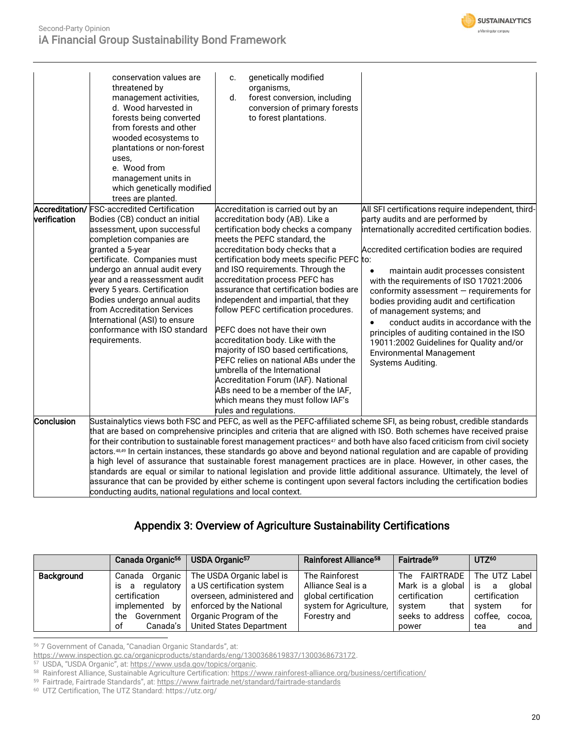

|                                | conservation values are<br>threatened by<br>management activities,<br>d. Wood harvested in<br>forests being converted<br>from forests and other<br>wooded ecosystems to<br>plantations or non-forest<br>uses,<br>e. Wood from<br>management units in<br>which genetically modified<br>trees are planted.                                                                                                                                | genetically modified<br>c.<br>organisms,<br>forest conversion, including<br>d.<br>conversion of primary forests<br>to forest plantations.                                                                                                                                                                                                                                                                                                                                                                                                                                                                                                                                                                                                     |                                                                                                                                                                                                                                                                                                                                                                                                                                                                                                                                                                                                                                                                                                                                                                                                                                                                                              |
|--------------------------------|-----------------------------------------------------------------------------------------------------------------------------------------------------------------------------------------------------------------------------------------------------------------------------------------------------------------------------------------------------------------------------------------------------------------------------------------|-----------------------------------------------------------------------------------------------------------------------------------------------------------------------------------------------------------------------------------------------------------------------------------------------------------------------------------------------------------------------------------------------------------------------------------------------------------------------------------------------------------------------------------------------------------------------------------------------------------------------------------------------------------------------------------------------------------------------------------------------|----------------------------------------------------------------------------------------------------------------------------------------------------------------------------------------------------------------------------------------------------------------------------------------------------------------------------------------------------------------------------------------------------------------------------------------------------------------------------------------------------------------------------------------------------------------------------------------------------------------------------------------------------------------------------------------------------------------------------------------------------------------------------------------------------------------------------------------------------------------------------------------------|
| Accreditation/<br>verification | <b>FSC-accredited Certification</b><br>Bodies (CB) conduct an initial<br>assessment, upon successful<br>completion companies are<br>granted a 5-year<br>certificate. Companies must<br>undergo an annual audit every<br>year and a reassessment audit<br>every 5 years. Certification<br>Bodies undergo annual audits<br>from Accreditation Services<br>International (ASI) to ensure<br>conformance with ISO standard<br>requirements. | Accreditation is carried out by an<br>accreditation body (AB). Like a<br>certification body checks a company<br>meets the PEFC standard, the<br>accreditation body checks that a<br>certification body meets specific PEFC to:<br>and ISO requirements. Through the<br>accreditation process PEFC has<br>assurance that certification bodies are<br>independent and impartial, that they<br>follow PEFC certification procedures.<br>PEFC does not have their own<br>accreditation body. Like with the<br>majority of ISO based certifications,<br>PEFC relies on national ABs under the<br>umbrella of the International<br>Accreditation Forum (IAF). National<br>ABs need to be a member of the IAF,<br>which means they must follow IAF's | All SFI certifications require independent, third-<br>party audits and are performed by<br>internationally accredited certification bodies.<br>Accredited certification bodies are required<br>maintain audit processes consistent<br>with the requirements of ISO 17021:2006<br>conformity assessment $-$ requirements for<br>bodies providing audit and certification<br>of management systems; and<br>conduct audits in accordance with the<br>$\bullet$<br>principles of auditing contained in the ISO<br>19011:2002 Guidelines for Quality and/or<br><b>Environmental Management</b><br>Systems Auditing.                                                                                                                                                                                                                                                                               |
| Conclusion                     | conducting audits, national regulations and local context.                                                                                                                                                                                                                                                                                                                                                                              | rules and regulations.                                                                                                                                                                                                                                                                                                                                                                                                                                                                                                                                                                                                                                                                                                                        | Sustainalytics views both FSC and PEFC, as well as the PEFC-affiliated scheme SFI, as being robust, credible standards<br>that are based on comprehensive principles and criteria that are aligned with ISO. Both schemes have received praise<br>for their contribution to sustainable forest management practices <sup>47</sup> and both have also faced criticism from civil society<br>actors.48,49 In certain instances, these standards go above and beyond national regulation and are capable of providing<br>a high level of assurance that sustainable forest management practices are in place. However, in other cases, the<br>standards are equal or similar to national legislation and provide little additional assurance. Ultimately, the level of<br>assurance that can be provided by either scheme is contingent upon several factors including the certification bodies |

## Appendix 3: Overview of Agriculture Sustainability Certifications

|            | Canada Organic <sup>56</sup> | USDA Organic <sup>57</sup> | Rainforest Alliance <sup>58</sup> | Fairtrade <sup>59</sup> | $UTZ^{60}$        |
|------------|------------------------------|----------------------------|-----------------------------------|-------------------------|-------------------|
| Background | Organic<br>Canada            | The USDA Organic label is  | The Rainforest                    | The FAIRTRADE           | The UTZ Label     |
|            | regulatory<br>a<br>IS.       | a US certification system  | Alliance Seal is a                | Mark is a global        | alobal<br>is<br>a |
|            | certification                | overseen, administered and | global certification              | certification           | certification     |
|            | implemented<br>bv            | enforced by the National   | system for Agriculture,           | that<br>system          | for I<br>svstem   |
|            | Government<br>the            | Organic Program of the     | Forestry and                      | seeks to address        | coffee.<br>cocoa, |
|            | Canada's<br>оf               | United States Department   |                                   | power                   | and<br>tea        |

<sup>56</sup> 7 Government of Canada, "Canadian Organic Standards", at:

<sup>59</sup> Fairtrade, Fairtrade Standards", at: <u><https://www.fairtrade.net/standard/fairtrade-standards></u>

60 UTZ Certification, The UTZ Standard: https://utz.org/

<sup>&</sup>lt;u>https://www.inspection.gc.ca/organicproducts/standards/eng/1300368619837/1300368673172</u>.<br><sup>57</sup> USDA, "USDA Organic", at: <u>https://www.usda.gov/topics/organic</u>.<br><sup>58</sup> Rainforest Alliance, Sustainable Agriculture Certificat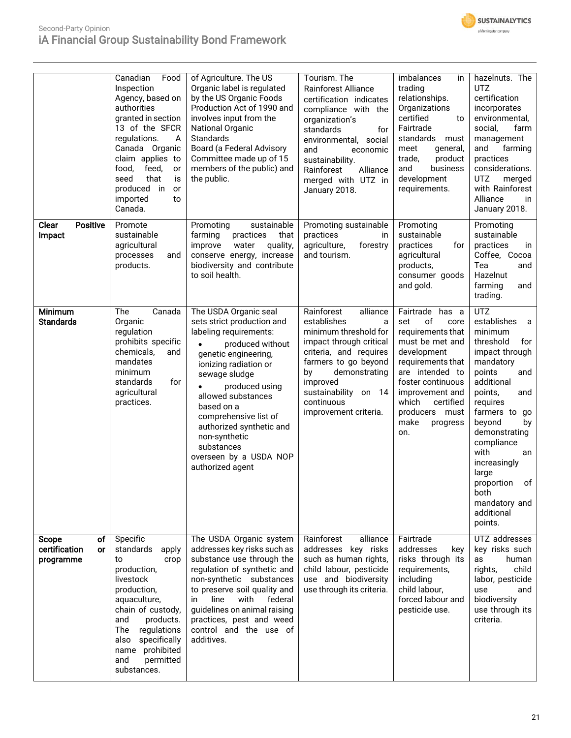



|                                                               | Canadian<br>Food<br>Inspection<br>Agency, based on<br>authorities<br>granted in section<br>13 of the SFCR<br>regulations.<br>A<br>Canada Organic<br>claim applies to<br>food,<br>feed,<br>or<br>that<br>seed<br>is<br>produced in<br>or<br>imported<br>to<br>Canada. | of Agriculture. The US<br>Organic label is regulated<br>by the US Organic Foods<br>Production Act of 1990 and<br>involves input from the<br><b>National Organic</b><br>Standards<br>Board (a Federal Advisory<br>Committee made up of 15<br>members of the public) and<br>the public.                                                                       | Tourism. The<br>Rainforest Alliance<br>certification indicates<br>compliance with the<br>organization's<br>standards<br>for<br>environmental, social<br>and<br>economic<br>sustainability.<br>Rainforest<br>Alliance<br>merged with UTZ in<br>January 2018. | imbalances<br>in<br>trading<br>relationships.<br>Organizations<br>certified<br>to<br>Fairtrade<br>standards must<br>meet<br>general,<br>product<br>trade,<br>business<br>and<br>development<br>requirements.                                      | hazelnuts. The<br><b>UTZ</b><br>certification<br>incorporates<br>environmental,<br>social,<br>farm<br>management<br>farming<br>and<br>practices<br>considerations.<br>merged<br><b>UTZ</b><br>with Rainforest<br>Alliance<br>in.<br>January 2018.                                                                                      |
|---------------------------------------------------------------|----------------------------------------------------------------------------------------------------------------------------------------------------------------------------------------------------------------------------------------------------------------------|-------------------------------------------------------------------------------------------------------------------------------------------------------------------------------------------------------------------------------------------------------------------------------------------------------------------------------------------------------------|-------------------------------------------------------------------------------------------------------------------------------------------------------------------------------------------------------------------------------------------------------------|---------------------------------------------------------------------------------------------------------------------------------------------------------------------------------------------------------------------------------------------------|----------------------------------------------------------------------------------------------------------------------------------------------------------------------------------------------------------------------------------------------------------------------------------------------------------------------------------------|
| Clear<br><b>Positive</b><br>Impact                            | Promote<br>sustainable<br>agricultural<br>processes<br>and<br>products.                                                                                                                                                                                              | sustainable<br>Promoting<br>farming<br>practices<br>that<br>improve<br>water<br>quality,<br>conserve energy, increase<br>biodiversity and contribute<br>to soil health.                                                                                                                                                                                     | Promoting sustainable<br>practices<br><i>in</i><br>agriculture,<br>forestry<br>and tourism.                                                                                                                                                                 | Promoting<br>sustainable<br>practices<br>for<br>agricultural<br>products,<br>consumer goods<br>and gold.                                                                                                                                          | Promoting<br>sustainable<br>practices<br>in<br>Coffee, Cocoa<br>Tea<br>and<br>Hazelnut<br>farming<br>and<br>trading.                                                                                                                                                                                                                   |
| Minimum<br><b>Standards</b>                                   | <b>The</b><br>Canada<br>Organic<br>regulation<br>prohibits specific<br>chemicals,<br>and<br>mandates<br>minimum<br>for<br>standards<br>agricultural<br>practices.                                                                                                    | The USDA Organic seal<br>sets strict production and<br>labeling requirements:<br>produced without<br>genetic engineering,<br>ionizing radiation or<br>sewage sludge<br>produced using<br>allowed substances<br>based on a<br>comprehensive list of<br>authorized synthetic and<br>non-synthetic<br>substances<br>overseen by a USDA NOP<br>authorized agent | Rainforest<br>alliance<br>establishes<br>a<br>minimum threshold for<br>impact through critical<br>criteria, and requires<br>farmers to go beyond<br>demonstrating<br>by<br>improved<br>sustainability on 14<br>continuous<br>improvement criteria.          | Fairtrade<br>has a<br>of<br>set<br>core<br>requirements that<br>must be met and<br>development<br>requirements that<br>are intended to<br>foster continuous<br>improvement and<br>which<br>certified<br>producers must<br>make<br>progress<br>on. | <b>UTZ</b><br>establishes<br>a<br>minimum<br>threshold<br>for<br>impact through<br>mandatory<br>points<br>and<br>additional<br>points,<br>and<br>requires<br>farmers to<br>go<br>beyond<br>by<br>demonstrating<br>compliance<br>with<br>an<br>increasingly<br>large<br>proportion of<br>both<br>mandatory and<br>additional<br>points. |
| оf<br><b>Scope</b><br>certification<br><b>or</b><br>programme | Specific<br>standards<br>apply<br>to<br>crop<br>production,<br>livestock<br>production,<br>aquaculture,<br>chain of custody,<br>and<br>products.<br>The<br>regulations<br>specifically<br>also<br>name prohibited<br>permitted<br>and<br>substances.                 | The USDA Organic system<br>addresses key risks such as<br>substance use through the<br>regulation of synthetic and<br>non-synthetic substances<br>to preserve soil quality and<br>with<br>federal<br>in<br>line<br>guidelines on animal raising<br>practices, pest and weed<br>control and the use of<br>additives.                                         | alliance<br>Rainforest<br>addresses key risks<br>such as human rights,<br>child labour, pesticide<br>use and biodiversity<br>use through its criteria.                                                                                                      | Fairtrade<br>addresses<br>key<br>risks through its<br>requirements,<br>including<br>child labour,<br>forced labour and<br>pesticide use.                                                                                                          | UTZ addresses<br>key risks such<br>human<br>as<br>child<br>rights,<br>labor, pesticide<br>use<br>and<br>biodiversity<br>use through its<br>criteria.                                                                                                                                                                                   |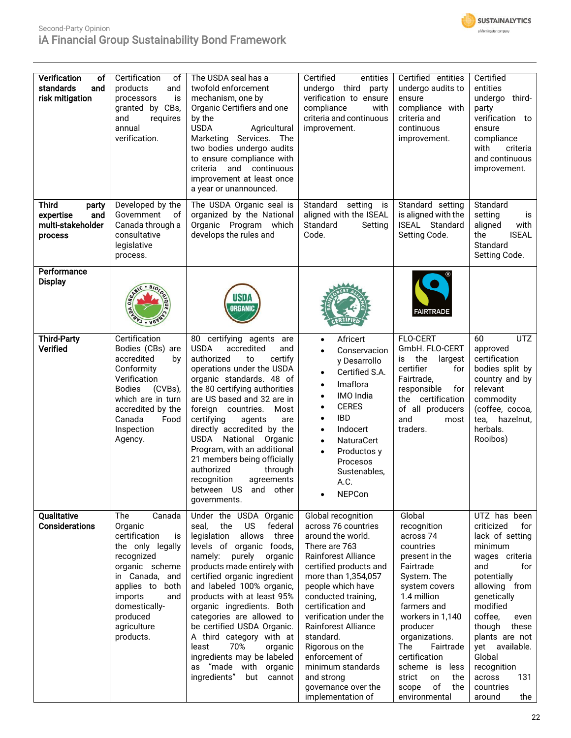

## Second-Party Opinion iA Financial Group Sustainability Bond Framework

| Verification<br>of<br>standards<br>and<br>risk mitigation                 | Certification<br>of<br>products<br>and<br>processors<br>is<br>granted by CBs,<br>and<br>requires<br>annual<br>verification.                                                                                            | The USDA seal has a<br>twofold enforcement<br>mechanism, one by<br>Organic Certifiers and one<br>by the<br><b>USDA</b><br>Agricultural<br>Services. The<br>Marketing<br>two bodies undergo audits<br>to ensure compliance with<br>and continuous<br>criteria<br>improvement at least once<br>a year or unannounced.                                                                                                                                                                                                    | Certified<br>entities<br>undergo third<br>party<br>verification to ensure<br>compliance<br>with<br>criteria and continuous<br>improvement.                                                                                                                                                                                                                                                                               | Certified entities<br>undergo audits to<br>ensure<br>compliance with<br>criteria and<br>continuous<br>improvement.                                                                                                                                                                                                     | Certified<br>entities<br>undergo third-<br>party<br>verification to<br>ensure<br>compliance<br>with<br>criteria<br>and continuous<br>improvement.                                                                                                                                                            |
|---------------------------------------------------------------------------|------------------------------------------------------------------------------------------------------------------------------------------------------------------------------------------------------------------------|------------------------------------------------------------------------------------------------------------------------------------------------------------------------------------------------------------------------------------------------------------------------------------------------------------------------------------------------------------------------------------------------------------------------------------------------------------------------------------------------------------------------|--------------------------------------------------------------------------------------------------------------------------------------------------------------------------------------------------------------------------------------------------------------------------------------------------------------------------------------------------------------------------------------------------------------------------|------------------------------------------------------------------------------------------------------------------------------------------------------------------------------------------------------------------------------------------------------------------------------------------------------------------------|--------------------------------------------------------------------------------------------------------------------------------------------------------------------------------------------------------------------------------------------------------------------------------------------------------------|
| <b>Third</b><br>party<br>and<br>expertise<br>multi-stakeholder<br>process | Developed by the<br>Government<br>оf<br>Canada through a<br>consultative<br>legislative<br>process.                                                                                                                    | The USDA Organic seal is<br>organized by the National<br>Organic Program which<br>develops the rules and                                                                                                                                                                                                                                                                                                                                                                                                               | Standard setting<br>is<br>aligned with the ISEAL<br>Standard<br>Setting<br>Code.                                                                                                                                                                                                                                                                                                                                         | Standard setting<br>is aligned with the<br>ISEAL Standard<br>Setting Code.                                                                                                                                                                                                                                             | Standard<br>setting<br>is<br>aligned<br>with<br>the<br><b>ISEAL</b><br>Standard<br>Setting Code.                                                                                                                                                                                                             |
| Performance<br><b>Display</b>                                             |                                                                                                                                                                                                                        | <b>USDA</b><br><b>ORGANIC</b>                                                                                                                                                                                                                                                                                                                                                                                                                                                                                          |                                                                                                                                                                                                                                                                                                                                                                                                                          | <b>FAIRTRADE</b>                                                                                                                                                                                                                                                                                                       |                                                                                                                                                                                                                                                                                                              |
| <b>Third-Party</b><br>Verified                                            | Certification<br>Bodies (CBs) are<br>accredited<br>by<br>Conformity<br>Verification<br><b>Bodies</b><br>(CVBs),<br>which are in turn<br>accredited by the<br>Canada<br>Food<br>Inspection<br>Agency.                   | 80 certifying agents<br>are<br><b>USDA</b><br>accredited<br>and<br>authorized<br>certify<br>to<br>operations under the USDA<br>organic standards. 48 of<br>the 80 certifying authorities<br>are US based and 32 are in<br>foreign countries.<br>Most<br>certifying<br>agents<br>are<br>directly accredited by the<br>USDA National Organic<br>Program, with an additional<br>21 members being officially<br>authorized<br>through<br>recognition<br>agreements<br>between US and<br>other<br>governments.              | Africert<br>$\bullet$<br>Conservacion<br>$\bullet$<br>y Desarrollo<br>Certified S.A.<br>$\bullet$<br>Imaflora<br>IMO India<br><b>CERES</b><br><b>IBD</b><br>$\bullet$<br>Indocert<br>$\bullet$<br>NaturaCert<br>$\bullet$<br>Productos y<br>$\bullet$<br>Procesos<br>Sustenables,<br>A.C.<br><b>NEPCon</b>                                                                                                               | <b>FLO-CERT</b><br>GmbH. FLO-CERT<br>the<br>largest<br>is<br>certifier<br>for<br>Fairtrade,<br>responsible<br>for<br>the certification<br>of all producers<br>and<br>most<br>traders.                                                                                                                                  | 60<br><b>UTZ</b><br>approved<br>certification<br>bodies split by<br>country and by<br>relevant<br>commodity<br>(coffee, cocoa,<br>tea,<br>hazelnut,<br>herbals.<br>Rooibos)                                                                                                                                  |
| Qualitative<br>Considerations                                             | The<br>Canada<br>Organic<br>certification<br>is<br>the only legally<br>recognized<br>organic scheme<br>in Canada, and<br>applies to<br>both<br>imports<br>and<br>domestically-<br>produced<br>agriculture<br>products. | Under the USDA Organic<br>US<br>seal,<br>the<br>federal<br>allows<br>legislation<br>three<br>levels of organic foods,<br>purely<br>namely:<br>organic<br>products made entirely with<br>certified organic ingredient<br>and labeled 100% organic,<br>products with at least 95%<br>organic ingredients. Both<br>categories are allowed to<br>be certified USDA Organic.<br>A third category with at<br>least<br>70%<br>organic<br>ingredients may be labeled<br>as "made with organic<br>ingredients"<br>but<br>cannot | Global recognition<br>across 76 countries<br>around the world.<br>There are 763<br><b>Rainforest Alliance</b><br>certified products and<br>more than 1,354,057<br>people which have<br>conducted training,<br>certification and<br>verification under the<br><b>Rainforest Alliance</b><br>standard.<br>Rigorous on the<br>enforcement of<br>minimum standards<br>and strong<br>governance over the<br>implementation of | Global<br>recognition<br>across 74<br>countries<br>present in the<br>Fairtrade<br>System. The<br>system covers<br>1.4 million<br>farmers and<br>workers in 1,140<br>producer<br>organizations.<br>The<br>Fairtrade<br>certification<br>scheme is<br>less<br>strict<br>on<br>the<br>of<br>scope<br>the<br>environmental | UTZ has been<br>criticized<br>for<br>lack of setting<br>minimum<br>wages criteria<br>and<br>for<br>potentially<br>allowing from<br>genetically<br>modified<br>coffee,<br>even<br>though<br>these<br>plants are not<br>yet available.<br>Global<br>recognition<br>131<br>across<br>countries<br>around<br>the |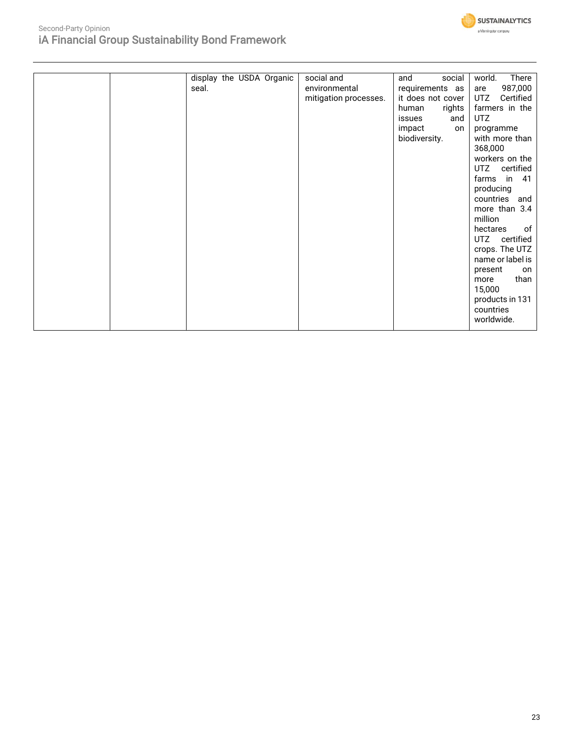

| display the USDA Organic | social and            | and<br>social     | There<br>world.  |
|--------------------------|-----------------------|-------------------|------------------|
| seal.                    | environmental         | requirements as   | 987,000<br>are   |
|                          | mitigation processes. | it does not cover | Certified<br>UTZ |
|                          |                       | rights<br>human   | farmers in the   |
|                          |                       | issues<br>and     | UTZ.             |
|                          |                       | impact<br>on      | programme        |
|                          |                       | biodiversity.     | with more than   |
|                          |                       |                   | 368,000          |
|                          |                       |                   | workers on the   |
|                          |                       |                   | UTZ certified    |
|                          |                       |                   | farms in<br>-41  |
|                          |                       |                   | producing        |
|                          |                       |                   | countries and    |
|                          |                       |                   | more than 3.4    |
|                          |                       |                   | million          |
|                          |                       |                   | hectares<br>of   |
|                          |                       |                   | UTZ certified    |
|                          |                       |                   | crops. The UTZ   |
|                          |                       |                   | name or label is |
|                          |                       |                   | present<br>on    |
|                          |                       |                   | than<br>more     |
|                          |                       |                   | 15,000           |
|                          |                       |                   | products in 131  |
|                          |                       |                   | countries        |
|                          |                       |                   | worldwide.       |
|                          |                       |                   |                  |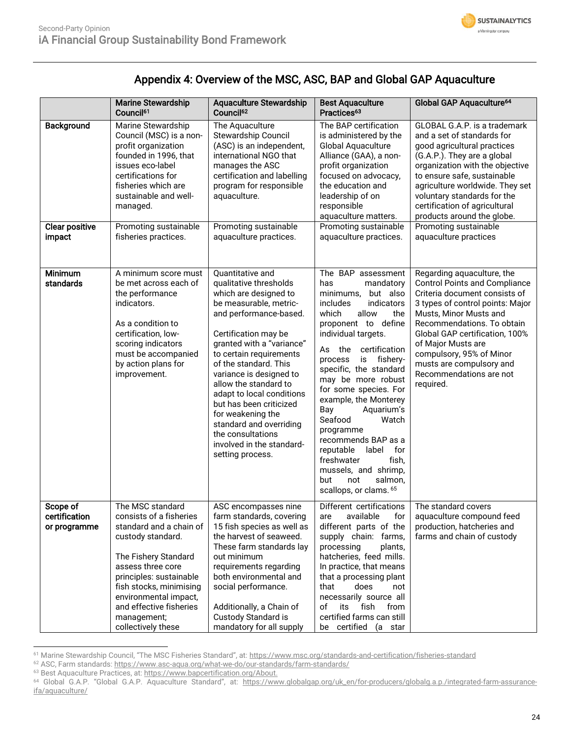| <b>SUSTAINALYTICS</b> |
|-----------------------|
| a Morningstar company |

## Appendix 4: Overview of the MSC, ASC, BAP and Global GAP Aquaculture

|                                           | <b>Marine Stewardship</b><br>Council <sup>61</sup>                                                                                                                                                                                                                                      | <b>Aquaculture Stewardship</b><br>Council <sup>62</sup>                                                                                                                                                                                                                                                                                                                                                                                                            | <b>Best Aquaculture</b><br>Practices <sup>63</sup>                                                                                                                                                                                                                                                                                                                                                                                                                                                                                  | Global GAP Aquaculture <sup>64</sup>                                                                                                                                                                                                                                                                                                                    |
|-------------------------------------------|-----------------------------------------------------------------------------------------------------------------------------------------------------------------------------------------------------------------------------------------------------------------------------------------|--------------------------------------------------------------------------------------------------------------------------------------------------------------------------------------------------------------------------------------------------------------------------------------------------------------------------------------------------------------------------------------------------------------------------------------------------------------------|-------------------------------------------------------------------------------------------------------------------------------------------------------------------------------------------------------------------------------------------------------------------------------------------------------------------------------------------------------------------------------------------------------------------------------------------------------------------------------------------------------------------------------------|---------------------------------------------------------------------------------------------------------------------------------------------------------------------------------------------------------------------------------------------------------------------------------------------------------------------------------------------------------|
| Background                                | Marine Stewardship<br>Council (MSC) is a non-<br>profit organization<br>founded in 1996, that<br>issues eco-label<br>certifications for<br>fisheries which are<br>sustainable and well-<br>managed.                                                                                     | The Aquaculture<br>Stewardship Council<br>(ASC) is an independent,<br>international NGO that<br>manages the ASC<br>certification and labelling<br>program for responsible<br>aquaculture.                                                                                                                                                                                                                                                                          | The BAP certification<br>is administered by the<br>Global Aquaculture<br>Alliance (GAA), a non-<br>profit organization<br>focused on advocacy,<br>the education and<br>leadership of on<br>responsible<br>aquaculture matters.                                                                                                                                                                                                                                                                                                      | GLOBAL G.A.P. is a trademark<br>and a set of standards for<br>good agricultural practices<br>(G.A.P.). They are a global<br>organization with the objective<br>to ensure safe, sustainable<br>agriculture worldwide. They set<br>voluntary standards for the<br>certification of agricultural<br>products around the globe.                             |
| <b>Clear positive</b><br>impact           | Promoting sustainable<br>fisheries practices.                                                                                                                                                                                                                                           | Promoting sustainable<br>aquaculture practices.                                                                                                                                                                                                                                                                                                                                                                                                                    | Promoting sustainable<br>aquaculture practices.                                                                                                                                                                                                                                                                                                                                                                                                                                                                                     | Promoting sustainable<br>aquaculture practices                                                                                                                                                                                                                                                                                                          |
| Minimum<br>standards                      | A minimum score must<br>be met across each of<br>the performance<br>indicators.<br>As a condition to<br>certification, low-<br>scoring indicators<br>must be accompanied<br>by action plans for<br>improvement.                                                                         | Quantitative and<br>qualitative thresholds<br>which are designed to<br>be measurable, metric-<br>and performance-based.<br>Certification may be<br>granted with a "variance"<br>to certain requirements<br>of the standard. This<br>variance is designed to<br>allow the standard to<br>adapt to local conditions<br>but has been criticized<br>for weakening the<br>standard and overriding<br>the consultations<br>involved in the standard-<br>setting process. | The BAP assessment<br>has<br>mandatory<br>but also<br>minimums,<br>indicators<br>includes<br>which<br>allow<br>the<br>proponent to define<br>individual targets.<br>certification<br>As the<br>fishery-<br>is<br>process<br>specific, the standard<br>may be more robust<br>for some species. For<br>example, the Monterey<br>Bay<br>Aquarium's<br>Seafood<br>Watch<br>programme<br>recommends BAP as a<br>reputable label<br>for<br>freshwater<br>fish,<br>mussels, and shrimp,<br>but<br>not<br>salmon,<br>scallops, or clams. 65 | Regarding aquaculture, the<br><b>Control Points and Compliance</b><br>Criteria document consists of<br>3 types of control points: Major<br>Musts, Minor Musts and<br>Recommendations. To obtain<br>Global GAP certification, 100%<br>of Major Musts are<br>compulsory, 95% of Minor<br>musts are compulsory and<br>Recommendations are not<br>required. |
| Scope of<br>certification<br>or programme | The MSC standard<br>consists of a fisheries<br>standard and a chain of<br>custody standard.<br>The Fishery Standard<br>assess three core<br>principles: sustainable<br>fish stocks, minimising<br>environmental impact,<br>and effective fisheries<br>management;<br>collectively these | ASC encompasses nine<br>farm standards, covering<br>15 fish species as well as<br>the harvest of seaweed.<br>These farm standards lay<br>out minimum<br>requirements regarding<br>both environmental and<br>social performance.<br>Additionally, a Chain of<br>Custody Standard is<br>mandatory for all supply                                                                                                                                                     | Different certifications<br>available<br>are<br>tor<br>different parts of the<br>supply chain: farms,<br>processing<br>plants,<br>hatcheries, feed mills.<br>In practice, that means<br>that a processing plant<br>that<br>does<br>not<br>necessarily source all<br>fish<br>of<br>its<br>from<br>certified farms can still<br>be certified (a star                                                                                                                                                                                  | The standard covers<br>aquaculture compound feed<br>production, hatcheries and<br>farms and chain of custody                                                                                                                                                                                                                                            |

<sup>61</sup> Marine Stewardship Council, "The MSC Fisheries Standard", at: <https://www.msc.org/standards-and-certification/fisheries-standard>

<sup>62</sup> ASC, Farm standards[: https://www.asc-aqua.org/what-we-do/our-standards/farm-standards/](https://www.asc-aqua.org/what-we-do/our-standards/farm-standards/)

<sup>&</sup>lt;sup>63</sup> [Best Aquaculture Practices, at: https://www.bapcertification.org/About.](https://www.bapcertification.org/About)

<sup>64</sup> Global G.A.P. "Global G.A.P. Aquaculture Standard", at: [https://www.globalgap.org/uk\\_en/for-producers/globalg.a.p./integrated-farm-assurance](https://www.globalgap.org/uk_en/for-producers/globalg.a.p./integrated-farm-assurance-ifa/aquaculture/)[ifa/aquaculture/](https://www.globalgap.org/uk_en/for-producers/globalg.a.p./integrated-farm-assurance-ifa/aquaculture/)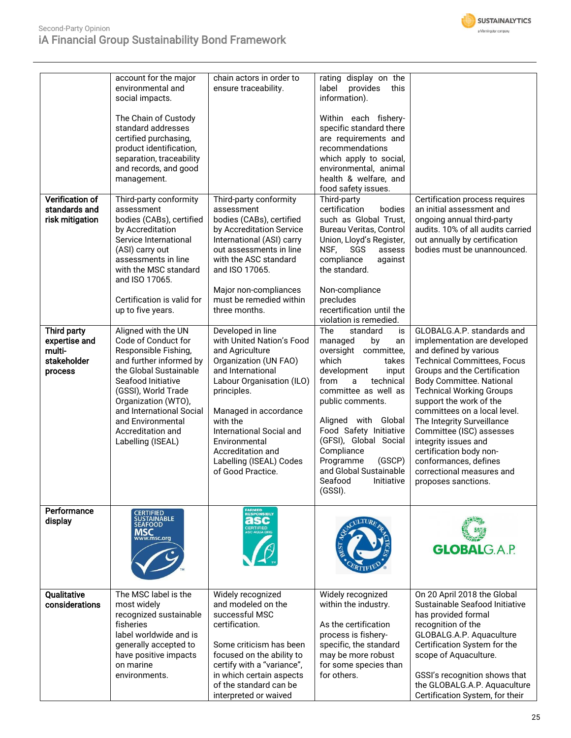

| <b>Verification of</b>                                           | account for the major<br>environmental and<br>social impacts.<br>The Chain of Custody<br>standard addresses<br>certified purchasing,<br>product identification,<br>separation, traceability<br>and records, and good<br>management.<br>Third-party conformity                          | chain actors in order to<br>ensure traceability.<br>Third-party conformity                                                                                                                                                                                                                                         | rating display on the<br>label<br>provides<br>this<br>information).<br>Within each fishery-<br>specific standard there<br>are requirements and<br>recommendations<br>which apply to social,<br>environmental, animal<br>health & welfare, and<br>food safety issues.<br>Third-party                                                                               | Certification process requires                                                                                                                                                                                                                                                                                                                                                                                                                                                        |
|------------------------------------------------------------------|----------------------------------------------------------------------------------------------------------------------------------------------------------------------------------------------------------------------------------------------------------------------------------------|--------------------------------------------------------------------------------------------------------------------------------------------------------------------------------------------------------------------------------------------------------------------------------------------------------------------|-------------------------------------------------------------------------------------------------------------------------------------------------------------------------------------------------------------------------------------------------------------------------------------------------------------------------------------------------------------------|---------------------------------------------------------------------------------------------------------------------------------------------------------------------------------------------------------------------------------------------------------------------------------------------------------------------------------------------------------------------------------------------------------------------------------------------------------------------------------------|
| standards and<br>risk mitigation                                 | assessment<br>bodies (CABs), certified<br>by Accreditation<br>Service International<br>(ASI) carry out<br>assessments in line<br>with the MSC standard<br>and ISO 17065.<br>Certification is valid for<br>up to five years.                                                            | assessment<br>bodies (CABs), certified<br>by Accreditation Service<br>International (ASI) carry<br>out assessments in line<br>with the ASC standard<br>and ISO 17065.<br>Major non-compliances<br>must be remedied within<br>three months.                                                                         | certification<br>bodies<br>such as Global Trust,<br>Bureau Veritas, Control<br>Union, Lloyd's Register,<br>NSF,<br>SGS<br>assess<br>compliance<br>against<br>the standard.<br>Non-compliance<br>precludes<br>recertification until the<br>violation is remedied.                                                                                                  | an initial assessment and<br>ongoing annual third-party<br>audits. 10% of all audits carried<br>out annually by certification<br>bodies must be unannounced.                                                                                                                                                                                                                                                                                                                          |
| Third party<br>expertise and<br>multi-<br>stakeholder<br>process | Aligned with the UN<br>Code of Conduct for<br>Responsible Fishing,<br>and further informed by<br>the Global Sustainable<br>Seafood Initiative<br>(GSSI), World Trade<br>Organization (WTO),<br>and International Social<br>and Environmental<br>Accreditation and<br>Labelling (ISEAL) | Developed in line<br>with United Nation's Food<br>and Agriculture<br>Organization (UN FAO)<br>and International<br>Labour Organisation (ILO)<br>principles.<br>Managed in accordance<br>with the<br>International Social and<br>Environmental<br>Accreditation and<br>Labelling (ISEAL) Codes<br>of Good Practice. | The<br>standard<br>is<br>managed<br>by<br>an<br>oversight committee,<br>which<br>takes<br>development<br>input<br>from<br>technical<br>a<br>committee as well as<br>public comments.<br>Aligned with Global<br>Food Safety Initiative<br>(GFSI), Global Social<br>Compliance<br>Programme<br>(GSCP)<br>and Global Sustainable<br>Seafood<br>Initiative<br>(GSSI). | GLOBALG.A.P. standards and<br>implementation are developed<br>and defined by various<br><b>Technical Committees, Focus</b><br>Groups and the Certification<br><b>Body Committee. National</b><br><b>Technical Working Groups</b><br>support the work of the<br>committees on a local level.<br>The Integrity Surveillance<br>Committee (ISC) assesses<br>integrity issues and<br>certification body non-<br>conformances, defines<br>correctional measures and<br>proposes sanctions. |
| Performance<br>display                                           | CERTIFIED<br>SUSTAINABLE<br>SEAFOOD<br><b>MSC</b><br>vww.msc.org                                                                                                                                                                                                                       | FARMED<br>RESPONSIBLY<br>asc<br>CERTIFIED                                                                                                                                                                                                                                                                          |                                                                                                                                                                                                                                                                                                                                                                   | <b>GLOBALGAP</b>                                                                                                                                                                                                                                                                                                                                                                                                                                                                      |
| Qualitative<br>considerations                                    | The MSC label is the<br>most widely<br>recognized sustainable<br>fisheries<br>label worldwide and is<br>generally accepted to<br>have positive impacts<br>on marine<br>environments.                                                                                                   | Widely recognized<br>and modeled on the<br>successful MSC<br>certification.<br>Some criticism has been<br>focused on the ability to<br>certify with a "variance",<br>in which certain aspects<br>of the standard can be<br>interpreted or waived                                                                   | Widely recognized<br>within the industry.<br>As the certification<br>process is fishery-<br>specific, the standard<br>may be more robust<br>for some species than<br>for others.                                                                                                                                                                                  | On 20 April 2018 the Global<br>Sustainable Seafood Initiative<br>has provided formal<br>recognition of the<br>GLOBALG.A.P. Aquaculture<br>Certification System for the<br>scope of Aquaculture.<br>GSSI's recognition shows that<br>the GLOBALG.A.P. Aquaculture<br>Certification System, for their                                                                                                                                                                                   |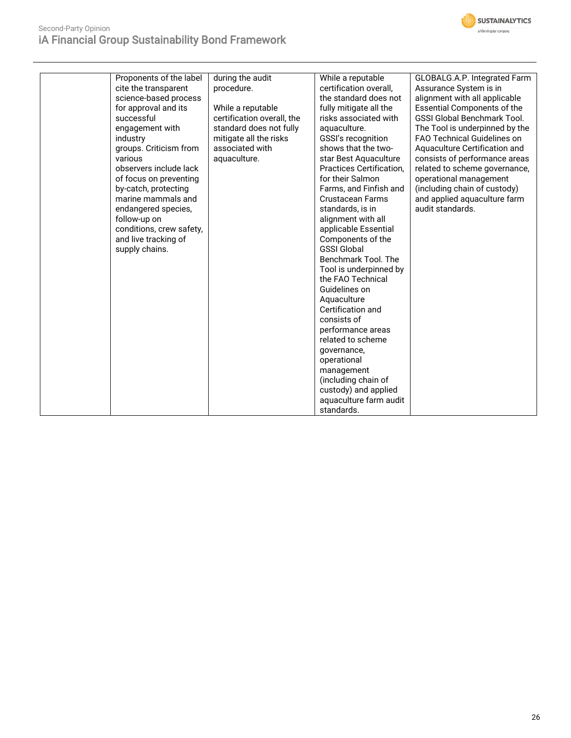

| Proponents of the label  | during the audit           | While a reputable               | GLOBALG.A.P. Integrated Farm       |
|--------------------------|----------------------------|---------------------------------|------------------------------------|
| cite the transparent     | procedure.                 | certification overall,          | Assurance System is in             |
| science-based process    |                            | the standard does not           | alignment with all applicable      |
| for approval and its     | While a reputable          | fully mitigate all the          | <b>Essential Components of the</b> |
| successful               | certification overall, the | risks associated with           | <b>GSSI Global Benchmark Tool.</b> |
| engagement with          | standard does not fully    | aquaculture.                    | The Tool is underpinned by the     |
| industry                 | mitigate all the risks     | <b>GSSI's recognition</b>       | <b>FAO Technical Guidelines on</b> |
| groups. Criticism from   | associated with            | shows that the two-             | Aquaculture Certification and      |
| various                  | aquaculture.               | star Best Aquaculture           | consists of performance areas      |
| observers include lack   |                            | <b>Practices Certification.</b> | related to scheme governance,      |
| of focus on preventing   |                            | for their Salmon                | operational management             |
| by-catch, protecting     |                            | Farms, and Finfish and          | (including chain of custody)       |
| marine mammals and       |                            | <b>Crustacean Farms</b>         | and applied aquaculture farm       |
| endangered species,      |                            | standards, is in                | audit standards.                   |
| follow-up on             |                            | alignment with all              |                                    |
| conditions, crew safety, |                            | applicable Essential            |                                    |
| and live tracking of     |                            | Components of the               |                                    |
| supply chains.           |                            | <b>GSSI Global</b>              |                                    |
|                          |                            | Benchmark Tool. The             |                                    |
|                          |                            | Tool is underpinned by          |                                    |
|                          |                            | the FAO Technical               |                                    |
|                          |                            | Guidelines on                   |                                    |
|                          |                            | Aquaculture                     |                                    |
|                          |                            | Certification and               |                                    |
|                          |                            | consists of                     |                                    |
|                          |                            | performance areas               |                                    |
|                          |                            | related to scheme               |                                    |
|                          |                            | governance,                     |                                    |
|                          |                            | operational                     |                                    |
|                          |                            | management                      |                                    |
|                          |                            | (including chain of             |                                    |
|                          |                            | custody) and applied            |                                    |
|                          |                            | aquaculture farm audit          |                                    |
|                          |                            | standards.                      |                                    |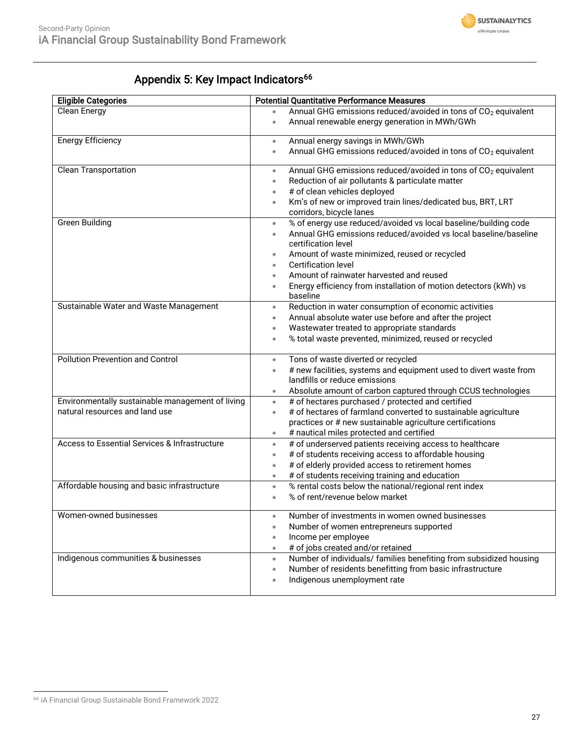

## Appendix 5: Key Impact Indicators<sup>66</sup>

| <b>Eligible Categories</b>                                                         | <b>Potential Quantitative Performance Measures</b>                                                                                                                                                                                                                                                                                                                                                                                                 |
|------------------------------------------------------------------------------------|----------------------------------------------------------------------------------------------------------------------------------------------------------------------------------------------------------------------------------------------------------------------------------------------------------------------------------------------------------------------------------------------------------------------------------------------------|
| <b>Clean Energy</b>                                                                | Annual GHG emissions reduced/avoided in tons of CO <sub>2</sub> equivalent<br>$\bullet$<br>Annual renewable energy generation in MWh/GWh<br>$\bullet$                                                                                                                                                                                                                                                                                              |
| <b>Energy Efficiency</b>                                                           | Annual energy savings in MWh/GWh<br>$\bullet$<br>Annual GHG emissions reduced/avoided in tons of CO <sub>2</sub> equivalent<br>$\bullet$                                                                                                                                                                                                                                                                                                           |
| <b>Clean Transportation</b>                                                        | Annual GHG emissions reduced/avoided in tons of CO <sub>2</sub> equivalent<br>$\bullet$<br>Reduction of air pollutants & particulate matter<br>$\bullet$<br># of clean vehicles deployed<br>$\bullet$<br>Km's of new or improved train lines/dedicated bus, BRT, LRT<br>$\bullet$<br>corridors, bicycle lanes                                                                                                                                      |
| <b>Green Building</b>                                                              | % of energy use reduced/avoided vs local baseline/building code<br>$\bullet$<br>Annual GHG emissions reduced/avoided vs local baseline/baseline<br>$\bullet$<br>certification level<br>Amount of waste minimized, reused or recycled<br>$\bullet$<br><b>Certification level</b><br>$\bullet$<br>Amount of rainwater harvested and reused<br>$\bullet$<br>Energy efficiency from installation of motion detectors (kWh) vs<br>$\bullet$<br>baseline |
| Sustainable Water and Waste Management                                             | Reduction in water consumption of economic activities<br>$\bullet$<br>Annual absolute water use before and after the project<br>$\bullet$<br>Wastewater treated to appropriate standards<br>$\bullet$<br>% total waste prevented, minimized, reused or recycled<br>$\bullet$                                                                                                                                                                       |
| <b>Pollution Prevention and Control</b>                                            | Tons of waste diverted or recycled<br>$\bullet$<br># new facilities, systems and equipment used to divert waste from<br>$\bullet$<br>landfills or reduce emissions<br>Absolute amount of carbon captured through CCUS technologies<br>$\bullet$                                                                                                                                                                                                    |
| Environmentally sustainable management of living<br>natural resources and land use | # of hectares purchased / protected and certified<br>$\bullet$<br># of hectares of farmland converted to sustainable agriculture<br>$\bullet$<br>practices or # new sustainable agriculture certifications<br># nautical miles protected and certified<br>$\bullet$                                                                                                                                                                                |
| Access to Essential Services & Infrastructure                                      | # of underserved patients receiving access to healthcare<br>$\bullet$<br># of students receiving access to affordable housing<br>$\bullet$<br># of elderly provided access to retirement homes<br>$\bullet$<br># of students receiving training and education<br>$\bullet$                                                                                                                                                                         |
| Affordable housing and basic infrastructure                                        | % rental costs below the national/regional rent index<br>$\bullet$<br>% of rent/revenue below market<br>$\bullet$                                                                                                                                                                                                                                                                                                                                  |
| Women-owned businesses                                                             | Number of investments in women owned businesses<br>Number of women entrepreneurs supported<br>$\bullet$<br>Income per employee<br>$\bullet$<br># of jobs created and/or retained<br>$\bullet$                                                                                                                                                                                                                                                      |
| Indigenous communities & businesses                                                | Number of individuals/ families benefiting from subsidized housing<br>$\bullet$<br>Number of residents benefitting from basic infrastructure<br>$\bullet$<br>Indigenous unemployment rate<br>$\bullet$                                                                                                                                                                                                                                             |

<sup>66</sup> iA Financial Group Sustainable Bond Framework 2022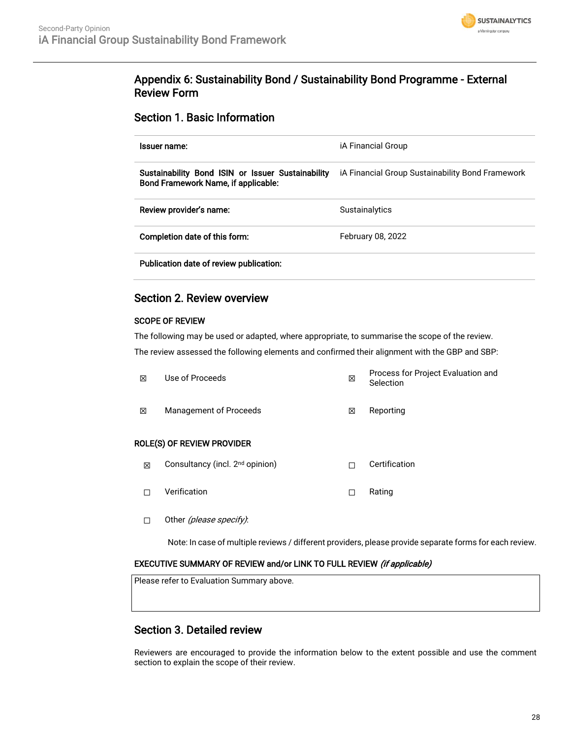

## Appendix 6: Sustainability Bond / Sustainability Bond Programme - External Review Form

### Section 1. Basic Information

| Issuer name:                                                                             | iA Financial Group                               |
|------------------------------------------------------------------------------------------|--------------------------------------------------|
| Sustainability Bond ISIN or Issuer Sustainability<br>Bond Framework Name, if applicable: | iA Financial Group Sustainability Bond Framework |
| Review provider's name:                                                                  | Sustainalytics                                   |
| Completion date of this form:                                                            | February 08, 2022                                |
| Publication date of review publication:                                                  |                                                  |

### Section 2. Review overview

### SCOPE OF REVIEW

The following may be used or adapted, where appropriate, to summarise the scope of the review. The review assessed the following elements and confirmed their alignment with the GBP and SBP:

| X                                 | Use of Proceeds        | ⊠ | Process for Project Evaluation and<br>Selection |  |  |
|-----------------------------------|------------------------|---|-------------------------------------------------|--|--|
| X                                 | Management of Proceeds | ⊠ | Reporting                                       |  |  |
| <b>ROLE(S) OF REVIEW PROVIDER</b> |                        |   |                                                 |  |  |

- ⊠ Consultancy (incl. 2<sup>nd</sup> opinion) □ □ Certification
- ☐ Verification ☐ Rating
- □ Other (please specify):

Note: In case of multiple reviews / different providers, please provide separate forms for each review.

### EXECUTIVE SUMMARY OF REVIEW and/or LINK TO FULL REVIEW (if applicable)

Please refer to Evaluation Summary above.

## Section 3. Detailed review

Reviewers are encouraged to provide the information below to the extent possible and use the comment section to explain the scope of their review.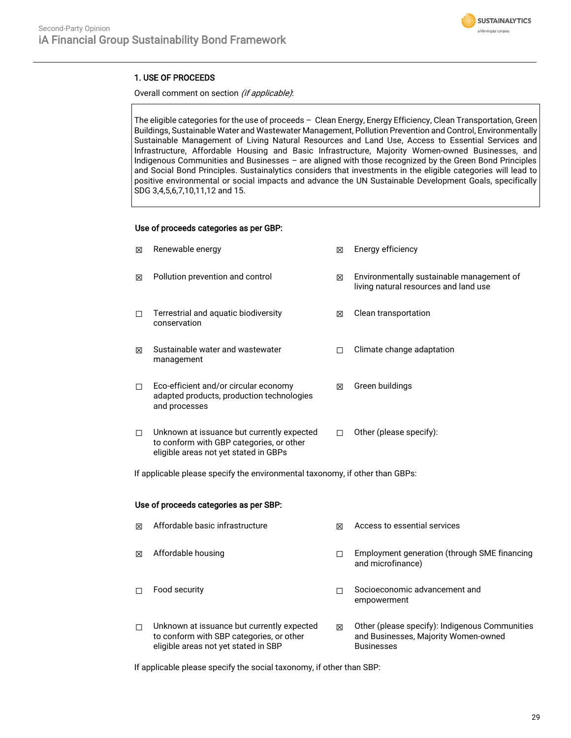

### 1. USE OF PROCEEDS

Overall comment on section (if applicable):

The eligible categories for the use of proceeds – Clean Energy, Energy Efficiency, Clean Transportation, Green Buildings, Sustainable Water and Wastewater Management, Pollution Prevention and Control, Environmentally Sustainable Management of Living Natural Resources and Land Use, Access to Essential Services and Infrastructure, Affordable Housing and Basic Infrastructure, Majority Women-owned Businesses, and Indigenous Communities and Businesses – are aligned with those recognized by the Green Bond Principles and Social Bond Principles. Sustainalytics considers that investments in the eligible categories will lead to positive environmental or social impacts and advance the UN Sustainable Development Goals, specifically SDG 3,4,5,6,7,10,11,12 and 15.

### Use of proceeds categories as per GBP:

| 冈 | Renewable energy                                                                                                                | 冈 | Energy efficiency                                                                  |
|---|---------------------------------------------------------------------------------------------------------------------------------|---|------------------------------------------------------------------------------------|
| X | Pollution prevention and control                                                                                                | 冈 | Environmentally sustainable management of<br>living natural resources and land use |
| п | Terrestrial and aquatic biodiversity<br>conservation                                                                            | ⊠ | Clean transportation                                                               |
| 冈 | Sustainable water and wastewater<br>management                                                                                  |   | Climate change adaptation                                                          |
| □ | Eco-efficient and/or circular economy<br>adapted products, production technologies<br>and processes                             | ⊠ | Green buildings                                                                    |
| □ | Unknown at issuance but currently expected<br>to conform with GBP categories, or other<br>eligible areas not yet stated in GBPs | П | Other (please specify):                                                            |

If applicable please specify the environmental taxonomy, if other than GBPs:

### Use of proceeds categories as per SBP:

| 冈 | Affordable basic infrastructure                                                                                                | ⊠ | Access to essential services                                                                                |
|---|--------------------------------------------------------------------------------------------------------------------------------|---|-------------------------------------------------------------------------------------------------------------|
| 冈 | Affordable housing                                                                                                             |   | Employment generation (through SME financing<br>and microfinance)                                           |
| п | Food security                                                                                                                  |   | Socioeconomic advancement and<br>empowerment                                                                |
| п | Unknown at issuance but currently expected<br>to conform with SBP categories, or other<br>eligible areas not yet stated in SBP | ⊠ | Other (please specify): Indigenous Communities<br>and Businesses, Majority Women-owned<br><b>Businesses</b> |

If applicable please specify the social taxonomy, if other than SBP: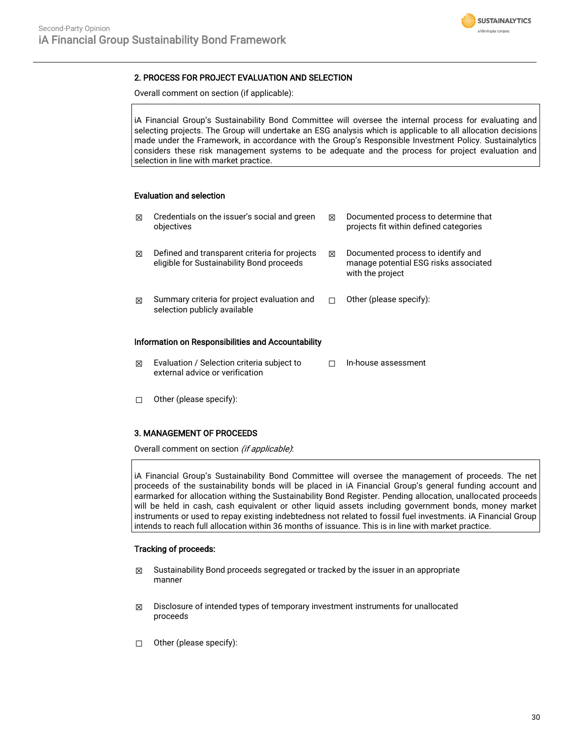

### 2. PROCESS FOR PROJECT EVALUATION AND SELECTION

Overall comment on section (if applicable):

iA Financial Group's Sustainability Bond Committee will oversee the internal process for evaluating and selecting projects. The Group will undertake an ESG analysis which is applicable to all allocation decisions made under the Framework, in accordance with the Group's Responsible Investment Policy. Sustainalytics considers these risk management systems to be adequate and the process for project evaluation and selection in line with market practice.

### Evaluation and selection

| ⊠                                                  | Credentials on the issuer's social and green<br>objectives                                 | ⊠ | Documented process to determine that<br>projects fit within defined categories                  |  |  |  |  |
|----------------------------------------------------|--------------------------------------------------------------------------------------------|---|-------------------------------------------------------------------------------------------------|--|--|--|--|
| ⊠                                                  | Defined and transparent criteria for projects<br>eligible for Sustainability Bond proceeds | ⊠ | Documented process to identify and<br>manage potential ESG risks associated<br>with the project |  |  |  |  |
| ⊠                                                  | Summary criteria for project evaluation and<br>selection publicly available                | П | Other (please specify):                                                                         |  |  |  |  |
| Information on Responsibilities and Accountability |                                                                                            |   |                                                                                                 |  |  |  |  |
| ⊠                                                  | Evaluation / Selection criteria subject to                                                 |   | In-house assessment                                                                             |  |  |  |  |

☐ Other (please specify):

### 3. MANAGEMENT OF PROCEEDS

Overall comment on section (if applicable):

external advice or verification

iA Financial Group's Sustainability Bond Committee will oversee the management of proceeds. The net proceeds of the sustainability bonds will be placed in iA Financial Group's general funding account and earmarked for allocation withing the Sustainability Bond Register. Pending allocation, unallocated proceeds will be held in cash, cash equivalent or other liquid assets including government bonds, money market instruments or used to repay existing indebtedness not related to fossil fuel investments. iA Financial Group intends to reach full allocation within 36 months of issuance. This is in line with market practice.

### Tracking of proceeds:

- $\boxtimes$  Sustainability Bond proceeds segregated or tracked by the issuer in an appropriate manner
- $\boxtimes$  Disclosure of intended types of temporary investment instruments for unallocated proceeds
- ☐ Other (please specify):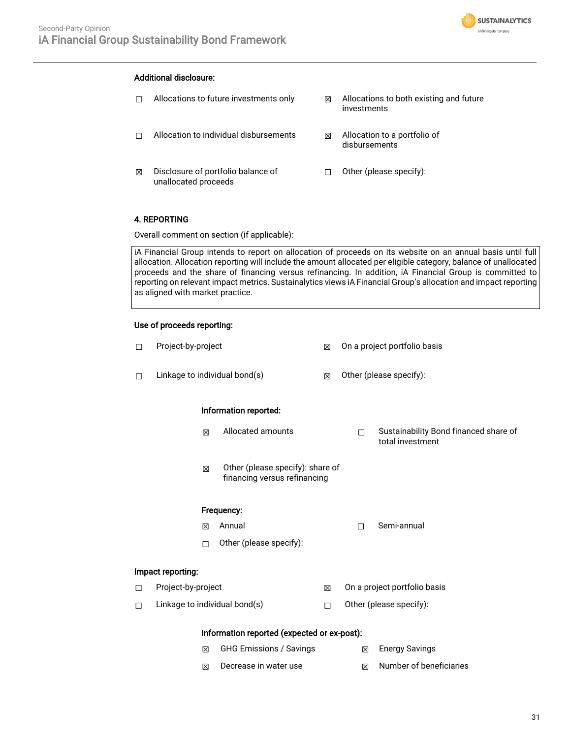

### Additional disclosure:

 $\Box$  Allocations to future investments only  $\boxtimes$  Allocations to both existing and future investments ☐ Allocation to individual disbursements ☒ Allocation to a portfolio of disbursements ☒ Disclosure of portfolio balance of unallocated proceeds ☐ Other (please specify):

### 4. REPORTING

Overall comment on section (if applicable):

iA Financial Group intends to report on allocation of proceeds on its website on an annual basis until full allocation. Allocation reporting will include the amount allocated per eligible category, balance of unallocated proceeds and the share of financing versus refinancing. In addition, iA Financial Group is committed to reporting on relevant impact metrics. Sustainalytics views iA Financial Group's allocation and impact reporting as aligned with market practice.

### Use of proceeds reporting:

| П                                   | Project-by-project                          |   |                                                                  | ⊠                       | On a project portfolio basis |                                                           |  |  |
|-------------------------------------|---------------------------------------------|---|------------------------------------------------------------------|-------------------------|------------------------------|-----------------------------------------------------------|--|--|
| П                                   | Linkage to individual bond(s)               |   | ⊠                                                                | Other (please specify): |                              |                                                           |  |  |
|                                     | Information reported:                       |   |                                                                  |                         |                              |                                                           |  |  |
|                                     |                                             | ⊠ | Allocated amounts                                                |                         | П                            | Sustainability Bond financed share of<br>total investment |  |  |
|                                     |                                             | 冈 | Other (please specify): share of<br>financing versus refinancing |                         |                              |                                                           |  |  |
|                                     | Frequency:                                  |   |                                                                  |                         |                              |                                                           |  |  |
|                                     |                                             | 冈 | Annual                                                           |                         | $\Box$                       | Semi-annual                                               |  |  |
|                                     |                                             | П | Other (please specify):                                          |                         |                              |                                                           |  |  |
| Impact reporting:                   |                                             |   |                                                                  |                         |                              |                                                           |  |  |
| $\Box$                              | Project-by-project                          |   |                                                                  | ⊠                       | On a project portfolio basis |                                                           |  |  |
| П                                   | Linkage to individual bond(s)               |   | □                                                                | Other (please specify): |                              |                                                           |  |  |
|                                     | Information reported (expected or ex-post): |   |                                                                  |                         |                              |                                                           |  |  |
| <b>GHG Emissions / Savings</b><br>区 |                                             |   |                                                                  | X                       | <b>Energy Savings</b>        |                                                           |  |  |

 $\boxtimes$  Decrease in water use  $\boxtimes$  Number of beneficiaries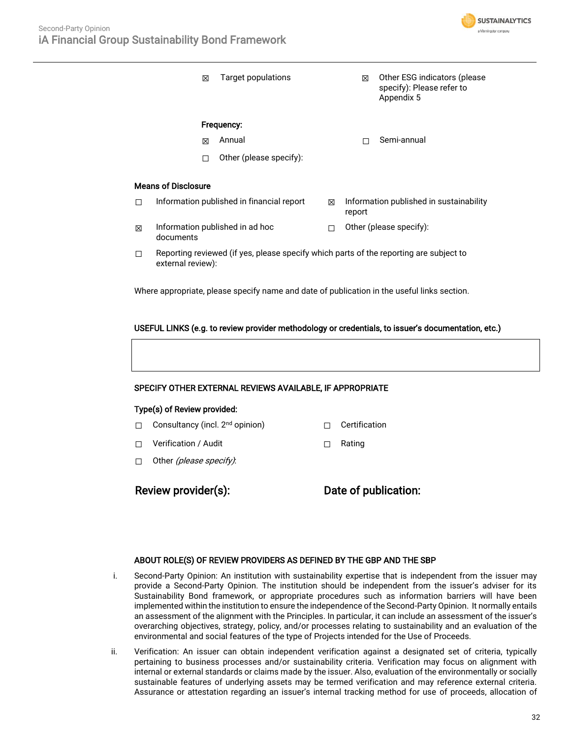

|                                                                                             | ⊠                                                                                                           |  | Target populations      |   | ⊠                                                 | Other ESG indicators (please<br>specify): Please refer to<br>Appendix 5 |  |
|---------------------------------------------------------------------------------------------|-------------------------------------------------------------------------------------------------------------|--|-------------------------|---|---------------------------------------------------|-------------------------------------------------------------------------|--|
|                                                                                             | Frequency:                                                                                                  |  |                         |   |                                                   |                                                                         |  |
|                                                                                             | ⊠                                                                                                           |  | Annual                  |   |                                                   | Semi-annual                                                             |  |
|                                                                                             | П                                                                                                           |  | Other (please specify): |   |                                                   |                                                                         |  |
| Means of Disclosure                                                                         |                                                                                                             |  |                         |   |                                                   |                                                                         |  |
| п                                                                                           | Information published in financial report                                                                   |  |                         | 冈 | Information published in sustainability<br>report |                                                                         |  |
| 区                                                                                           | Information published in ad hoc<br>documents                                                                |  |                         |   | Other (please specify):                           |                                                                         |  |
| □                                                                                           | Reporting reviewed (if yes, please specify which parts of the reporting are subject to<br>external review): |  |                         |   |                                                   |                                                                         |  |
| Where appropriate, please specify name and date of publication in the useful links section. |                                                                                                             |  |                         |   |                                                   |                                                                         |  |

### USEFUL LINKS (e.g. to review provider methodology or credentials, to issuer's documentation, etc.)

### SPECIFY OTHER EXTERNAL REVIEWS AVAILABLE, IF APPROPRIATE

### Type(s) of Review provided:

- □ Consultancy (incl. 2<sup>nd</sup> opinion) □ Certification
- ☐ Verification / Audit ☐ Rating
- □ Other (please specify):

Review provider(s): Date of publication:

### ABOUT ROLE(S) OF REVIEW PROVIDERS AS DEFINED BY THE GBP AND THE SBP

- i. Second-Party Opinion: An institution with sustainability expertise that is independent from the issuer may provide a Second-Party Opinion. The institution should be independent from the issuer's adviser for its Sustainability Bond framework, or appropriate procedures such as information barriers will have been implemented within the institution to ensure the independence of the Second-Party Opinion. It normally entails an assessment of the alignment with the Principles. In particular, it can include an assessment of the issuer's overarching objectives, strategy, policy, and/or processes relating to sustainability and an evaluation of the environmental and social features of the type of Projects intended for the Use of Proceeds.
- ii. Verification: An issuer can obtain independent verification against a designated set of criteria, typically pertaining to business processes and/or sustainability criteria. Verification may focus on alignment with internal or external standards or claims made by the issuer. Also, evaluation of the environmentally or socially sustainable features of underlying assets may be termed verification and may reference external criteria. Assurance or attestation regarding an issuer's internal tracking method for use of proceeds, allocation of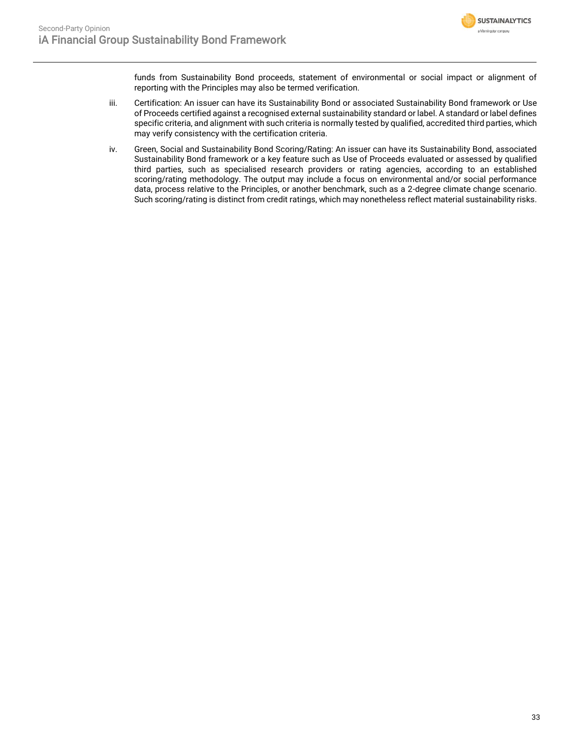

funds from Sustainability Bond proceeds, statement of environmental or social impact or alignment of reporting with the Principles may also be termed verification.

- iii. Certification: An issuer can have its Sustainability Bond or associated Sustainability Bond framework or Use of Proceeds certified against a recognised external sustainability standard or label. A standard or label defines specific criteria, and alignment with such criteria is normally tested by qualified, accredited third parties, which may verify consistency with the certification criteria.
- iv. Green, Social and Sustainability Bond Scoring/Rating: An issuer can have its Sustainability Bond, associated Sustainability Bond framework or a key feature such as Use of Proceeds evaluated or assessed by qualified third parties, such as specialised research providers or rating agencies, according to an established scoring/rating methodology. The output may include a focus on environmental and/or social performance data, process relative to the Principles, or another benchmark, such as a 2-degree climate change scenario. Such scoring/rating is distinct from credit ratings, which may nonetheless reflect material sustainability risks.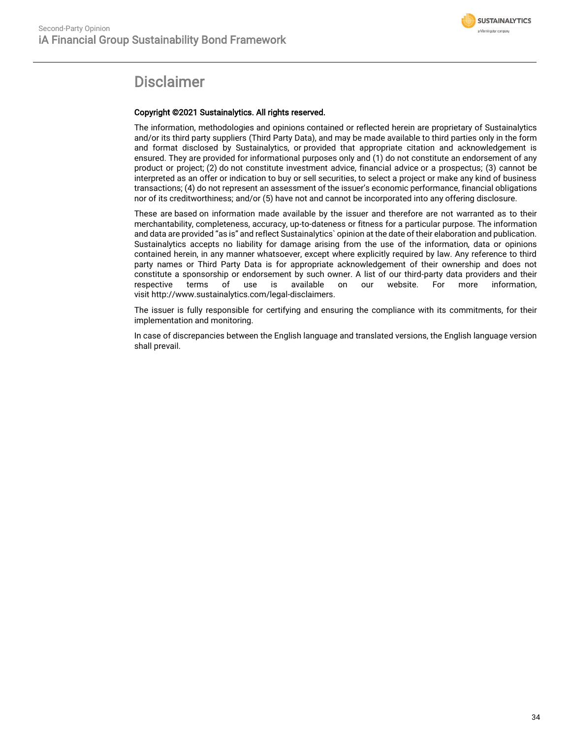

# **Disclaimer**

### Copyright ©2021 Sustainalytics. All rights reserved.

The information, methodologies and opinions contained or reflected herein are proprietary of Sustainalytics and/or its third party suppliers (Third Party Data), and may be made available to third parties only in the form and format disclosed by Sustainalytics, or provided that appropriate citation and acknowledgement is ensured. They are provided for informational purposes only and (1) do not constitute an endorsement of any product or project; (2) do not constitute investment advice, financial advice or a prospectus; (3) cannot be interpreted as an offer or indication to buy or sell securities, to select a project or make any kind of business transactions; (4) do not represent an assessment of the issuer's economic performance, financial obligations nor of its creditworthiness; and/or (5) have not and cannot be incorporated into any offering disclosure.

These are based on information made available by the issuer and therefore are not warranted as to their merchantability, completeness, accuracy, up-to-dateness or fitness for a particular purpose. The information and data are provided "as is" and reflect Sustainalytics` opinion at the date of their elaboration and publication. Sustainalytics accepts no liability for damage arising from the use of the information, data or opinions contained herein, in any manner whatsoever, except where explicitly required by law. Any reference to third party names or Third Party Data is for appropriate acknowledgement of their ownership and does not constitute a sponsorship or endorsement by such owner. A list of our third-party data providers and their respective terms of use is available on our website. For more information, visit http://www.sustainalytics.com/legal-disclaimers.

The issuer is fully responsible for certifying and ensuring the compliance with its commitments, for their implementation and monitoring.

In case of discrepancies between the English language and translated versions, the English language version shall prevail.